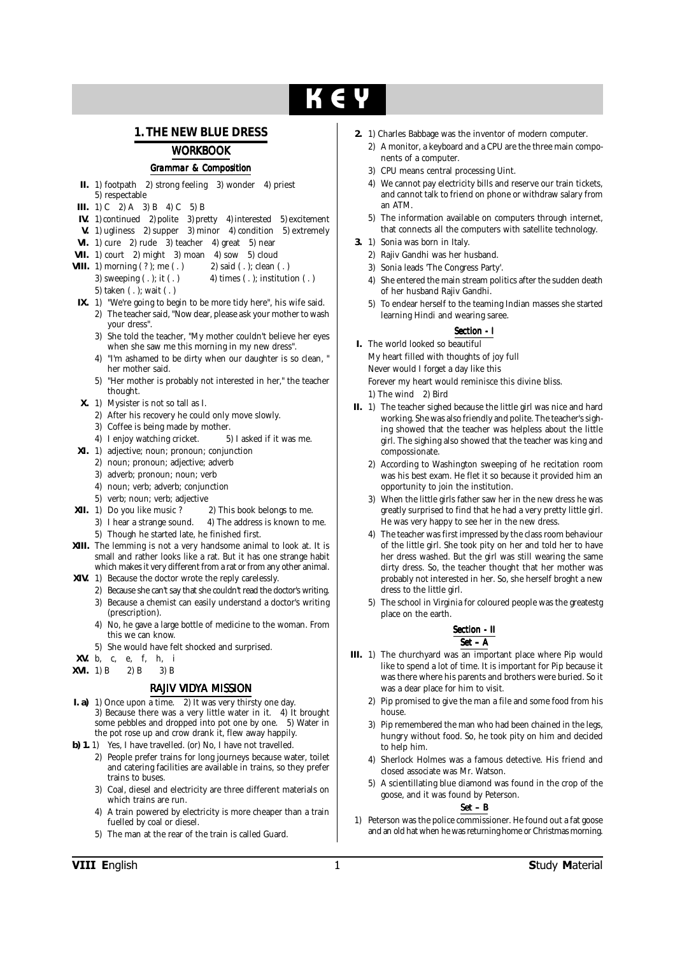# $K \in V$

### **1. THE NEW BLUE DRESS**

### *WORKBOOK*

#### *Grammar & Composition*

- **II.** 1) footpath 2) strong feeling 3) wonder 4) priest 5) respectable
- **III.** 1) C  $[2)$  A 3) B 4) C 5) B
- **IV.** 1) continued 2) polite 3) pretty 4) interested 5) excitement
- **V.** 1) ugliness 2) supper 3) minor 4) condition 5) extremely
- **VI.** 1) cure 2) rude  $\overline{3}$  teacher 4) great  $\overline{5}$  near
- **VII.** 1) court 2) might 3) moan 4) sow 5) cloud
- **VIII.** 1) morning ( ? ); me ( . ) 2) said ( . ); clean ( . )

3) sweeping  $(.);$  it  $(.)$  4) times  $(.);$  institution  $(.)$ 5) taken ( . ); wait ( . )

- **IX.** 1) "We're going to begin to be more tidy here", his wife said. 2) The teacher said, "Now dear, please ask your mother to wash your dress".
	- 3) She told the teacher, "My mother couldn't believe her eyes when she saw me this morning in my new dress".
	- "I'm ashamed to be dirty when our daughter is so clean, " her mother said.
	- 5) "Her mother is probably not interested in her," the teacher thought.
- **X.** 1) Mysister is not so tall as I.
	- 2) After his recovery he could only move slowly.
	- 3) Coffee is being made by mother.
	- 4) I enjoy watching cricket. 5) I asked if it was me.
- **XI.** 1) adjective; noun; pronoun; conjunction
	- 2) noun; pronoun; adjective; adverb
	- 3) adverb; pronoun; noun; verb
	- 4) noun; verb; adverb; conjunction
	- 5) verb; noun; verb; adjective
- **XII.** 1) Do you like music ? 2) This book belongs to me.
	- 3) I hear a strange sound. 4) The address is known to me. 5) Though he started late, he finished first.
- **XIII.** The lemming is not a very handsome animal to look at. It is small and rather looks like a rat. But it has one strange habit which makes it very different from a rat or from any other animal.
- **XIV.** 1) Because the doctor wrote the reply carelessly.
	- 2) Because she can't say that she couldn't read the doctor's writing. 3) Because a chemist can easily understand a doctor's writing
	- (prescription). 4) No, he gave a large bottle of medicine to the woman. From this we can know.
	- 5) She would have felt shocked and surprised.
- **XV.** b, c, e, f, h, i
- **XVI.** 1) B 2) B 3) B

#### *RAJIV VIDYA MISSION*

- **I. a)** 1) Once upon a time. 2) It was very thirsty one day. 3) Because there was a very little water in it. 4) It brought some pebbles and dropped into pot one by one. 5) Water in the pot rose up and crow drank it, flew away happily.
- **b) 1.** 1) Yes, I have travelled. (or) No, I have not travelled.
	- 2) People prefer trains for long journeys because water, toilet and catering facilities are available in trains, so they prefer trains to buses.
	- 3) Coal, diesel and electricity are three different materials on which trains are run.
	- 4) A train powered by electricity is more cheaper than a train fuelled by coal or diesel.
	- 5) The man at the rear of the train is called Guard.
- **2.** 1) Charles Babbage was the inventor of modern computer.
	- 2) A monitor, a keyboard and a CPU are the three main components of a computer.
	- 3) CPU means central processing Uint.
	- 4) We cannot pay electricity bills and reserve our train tickets, and cannot talk to friend on phone or withdraw salary from an ATM.
	- 5) The information available on computers through internet, that connects all the computers with satellite technology.
- **3.** 1) Sonia was born in Italy.
	- 2) Rajiv Gandhi was her husband.
	- 3) Sonia leads 'The Congress Party'.
	- 4) She entered the main stream politics after the sudden death of her husband Rajiv Gandhi.
	- 5) To endear herself to the teaming Indian masses she started learning Hindi and wearing saree.

#### *Section - I*

**I.** The world looked so beautiful My heart filled with thoughts of joy full Never would I forget a day like this Forever my heart would reminisce this divine bliss.

1) The wind 2) Bird

- **II.** 1) The teacher sighed because the little girl was nice and hard working. She was also friendly and polite. The teacher's sighing showed that the teacher was helpless about the little girl. The sighing also showed that the teacher was king and compossionate.
	- 2) According to Washington sweeping of he recitation room was his best exam. He flet it so because it provided him an opportunity to join the institution.
	- 3) When the little girls father saw her in the new dress he was greatly surprised to find that he had a very pretty little girl. He was very happy to see her in the new dress.
	- 4) The teacher was first impressed by the class room behaviour of the little girl. She took pity on her and told her to have her dress washed. But the girl was still wearing the same dirty dress. So, the teacher thought that her mother was probably not interested in her. So, she herself broght a new dress to the little girl.
	- 5) The school in Virginia for coloured people was the greatestg place on the earth.

#### *Section - II Section - II Set – A*

- **III.** 1) The churchyard was an important place where Pip would like to spend a lot of time. It is important for Pip because it was there where his parents and brothers were buried. So it was a dear place for him to visit.
	- 2) Pip promised to give the man a file and some food from his house.
	- 3) Pip remembered the man who had been chained in the legs, hungry without food. So, he took pity on him and decided to help him.
	- 4) Sherlock Holmes was a famous detective. His friend and closed associate was Mr. Watson.
	- 5) A scientillating blue diamond was found in the crop of the goose, and it was found by Peterson.

#### *Set – B*

1) Peterson was the police commissioner. He found out a fat goose and an old hat when he was returning home or Christmas morning.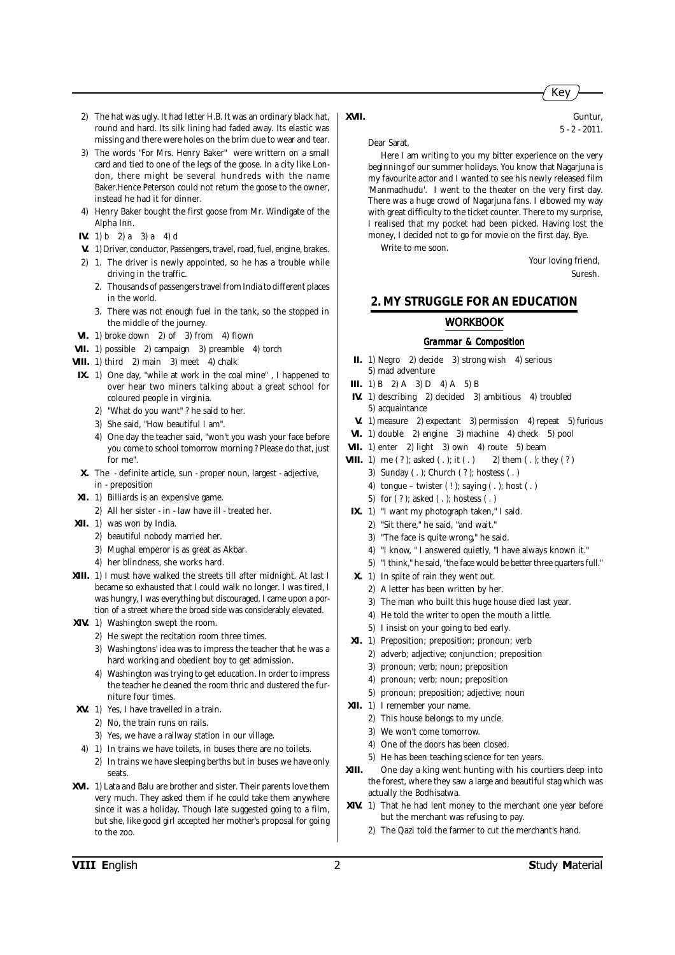- 2) The hat was ugly. It had letter H.B. It was an ordinary black hat, round and hard. Its silk lining had faded away. Its elastic was missing and there were holes on the brim due to wear and tear.
- 3) The words "For Mrs. Henry Baker" were writtern on a small card and tied to one of the legs of the goose. In a city like London, there might be several hundreds with the name Baker.Hence Peterson could not return the goose to the owner, instead he had it for dinner.
- 4) Henry Baker bought the first goose from Mr. Windigate of the Alpha Inn.
- **IV.** 1) b 2) a 3) a 4) d
- **V.** 1) Driver, conductor, Passengers, travel, road, fuel, engine, brakes.
- 2) 1. The driver is newly appointed, so he has a trouble while driving in the traffic.
	- 2. Thousands of passengers travel from India to different places in the world.
	- 3. There was not enough fuel in the tank, so the stopped in the middle of the journey.
- **VI.** 1) broke down 2) of 3) from 4) flown
- **VII.** 1) possible 2) campaign 3) preamble 4) torch
- **VIII.** 1) third 2) main 3) meet 4) chalk
- **IX.** 1) One day, "while at work in the coal mine" , I happened to over hear two miners talking about a great school for coloured people in virginia.
	- 2) "What do you want" ? he said to her.
	- 3) She said, "How beautiful I am".
	- 4) One day the teacher said, "won't you wash your face before you come to school tomorrow morning ? Please do that, just for me".
- **X.** The definite article, sun proper noun, largest adjective, in - preposition
- **XI.** 1) Billiards is an expensive game.
- 2) All her sister in law have ill treated her.
- **XII.** 1) was won by India.
	- 2) beautiful nobody married her.
	- 3) Mughal emperor is as great as Akbar.
	- 4) her blindness, she works hard.
- **XIII.** 1) I must have walked the streets till after midnight. At last I became so exhausted that I could walk no longer. I was tired, I was hungry, I was everything but discouraged. I came upon a portion of a street where the broad side was considerably elevated.
- **XIV.** 1) Washington swept the room.
	- 2) He swept the recitation room three times.
	- 3) Washingtons' idea was to impress the teacher that he was a hard working and obedient boy to get admission.
	- 4) Washington was trying to get education. In order to impress the teacher he cleaned the room thric and dustered the furniture four times.
- **XV.** 1) Yes, I have travelled in a train.
	- 2) No, the train runs on rails.
	- 3) Yes, we have a railway station in our village.
- 4) 1) In trains we have toilets, in buses there are no toilets.
	- 2) In trains we have sleeping berths but in buses we have only seats.
- **XVI.** 1) Lata and Balu are brother and sister. Their parents love them very much. They asked them if he could take them anywhere since it was a holiday. Though late suggested going to a film, but she, like good girl accepted her mother's proposal for going to the zoo.

Dear Sarat,

Here I am writing to you my bitter experience on the very beginning of our summer holidays. You know that Nagarjuna is my favourite actor and I wanted to see his newly released film 'Manmadhudu'. I went to the theater on the very first day. There was a huge crowd of Nagarjuna fans. I elbowed my way with great difficulty to the ticket counter. There to my surprise, I realised that my pocket had been picked. Having lost the money, I decided not to go for movie on the first day. Bye.

**XVII.** Guntur,

Write to me soon.

Your loving friend, Suresh.

#### **2. MY STRUGGLE FOR AN EDUCATION**

#### *WORKBOOK*

#### *Grammar & Composition*

- **II.** 1) Negro 2) decide 3) strong wish 4) serious 5) mad adventure
- **III.** 1) B 2) A 3) D 4) A 5) B
- **IV.** 1) describing 2) decided 3) ambitious 4) troubled 5) acquaintance
- **V.** 1) measure 2) expectant 3) permission 4) repeat 5) furious
- **VI.** 1) double 2) engine 3) machine 4) check 5) pool
- **VII.** 1) enter 2) light 3) own 4) route 5) beam
- **VIII.** 1) me  $(?)$ ; asked  $(.);$  it  $(.)$  2) them  $(.);$  they  $(?)$ 
	- 3) Sunday ( . ); Church ( ? ); hostess ( . )
	- 4) tongue twister  $(!)$ ; saying  $(.)$ ; host  $(.)$
	- 5) for ( ? ); asked ( . ); hostess ( . )
- **IX.** 1) "I want my photograph taken," I said.
	- 2) "Sit there," he said, "and wait."
	- 3) "The face is quite wrong," he said.
	- 4) "I know, " I answered quietly, "I have always known it."
	- 5) "I think," he said, "the face would be better three quarters full."
- **X.** 1) In spite of rain they went out.
	- 2) A letter has been written by her.
	- 3) The man who built this huge house died last year.
	- 4) He told the writer to open the mouth a little.
	- 5) I insist on your going to bed early.
- **XI.** 1) Preposition; preposition; pronoun; verb
	- 2) adverb; adjective; conjunction; preposition
	- 3) pronoun; verb; noun; preposition
	- 4) pronoun; verb; noun; preposition
	- 5) pronoun; preposition; adjective; noun
- **XII.** 1) I remember your name.
	- 2) This house belongs to my uncle.
	- 3) We won't come tomorrow.
	- 4) One of the doors has been closed.
	- 5) He has been teaching science for ten years.
- **XIII.** One day a king went hunting with his courtiers deep into the forest, where they saw a large and beautiful stag which was actually the Bodhisatwa.
- **XIV.** 1) That he had lent money to the merchant one year before but the merchant was refusing to pay.
	- 2) The Qazi told the farmer to cut the merchant's hand.

## Key

5 - 2 - 2011.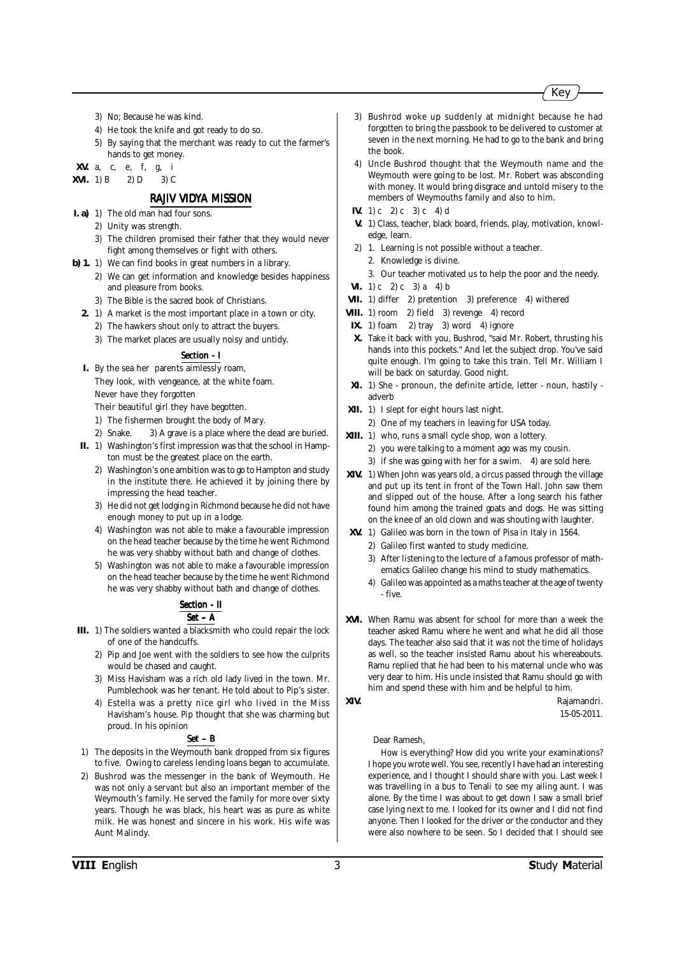- 3) No; Because he was kind.
- 4) He took the knife and got ready to do so.
- 5) By saying that the merchant was ready to cut the farmer's hands to get money.
- **XV.** a, c, e, f, g, i

**XVI.** 1) B 2) D 3) C

#### *RAJIV VIDYA MISSION*

- **I. a)** 1) The old man had four sons.
	- 2) Unity was strength.
	- 3) The children promised their father that they would never fight among themselves or fight with others.

**b) 1.** 1) We can find books in great numbers in a library.

- 2) We can get information and knowledge besides happiness and pleasure from books.
- 3) The Bible is the sacred book of Christians.
- **2.** 1) A market is the most important place in a town or city.
	- 2) The hawkers shout only to attract the buyers.
	- 3) The market places are usually noisy and untidy.

#### *Section - I Section*

**I.** By the sea her parents aimlessly roam, They look, with vengeance, at the white foam. Never have they forgotten

Their beautiful girl they have begotten.

- 1) The fishermen brought the body of Mary.
- 2) Snake. 3) A grave is a place where the dead are buried.
- **II.** 1) Washington's first impression was that the school in Hampton must be the greatest place on the earth.
	- 2) Washington's one ambition was to go to Hampton and study in the institute there. He achieved it by joining there by impressing the head teacher.
	- 3) He did not get lodging in Richmond because he did not have enough money to put up in a lodge.
	- 4) Washington was not able to make a favourable impression on the head teacher because by the time he went Richmond he was very shabby without bath and change of clothes.
	- 5) Washington was not able to make a favourable impression on the head teacher because by the time he went Richmond he was very shabby without bath and change of clothes.

#### **Section - II** *Set – A*

- **III.** 1) The soldiers wanted a blacksmith who could repair the lock of one of the handcuffs.
	- 2) Pip and Joe went with the soldiers to see how the culprits would be chased and caught.
	- 3) Miss Havisham was a rich old lady lived in the town. Mr. Pumblechook was her tenant. He told about to Pip's sister.
	- 4) Estella was a pretty nice girl who lived in the Miss Havisham's house. Pip thought that she was charming but proud. In his opinion

#### *Set – B*

- 1) The deposits in the Weymouth bank dropped from six figures to five. Owing to careless lending loans began to accumulate.
- 2) Bushrod was the messenger in the bank of Weymouth. He was not only a servant but also an important member of the Weymouth's family. He served the family for more over sixty years. Though he was black, his heart was as pure as white milk. He was honest and sincere in his work. His wife was Aunt Malindy.
- 3) Bushrod woke up suddenly at midnight because he had forgotten to bring the passbook to be delivered to customer at seven in the next morning. He had to go to the bank and bring the book.
- 4) Uncle Bushrod thought that the Weymouth name and the Weymouth were going to be lost. Mr. Robert was absconding with money. It would bring disgrace and untold misery to the members of Weymouths family and also to him.
- **IV.** 1) c 2) c 3) c 4) d
- **V.** 1) Class, teacher, black board, friends, play, motivation, knowledge, learn.
- 2) 1. Learning is not possible without a teacher.
	- 2. Knowledge is divine.
- 3. Our teacher motivated us to help the poor and the needy.
- **VI.** 1) c 2) c 3) a 4) b
- **VII.** 1) differ 2) pretention 3) preference 4) withered
- **VIII.** 1) room 2) field 3) revenge 4) record
- **IX.** 1) foam 2) tray 3) word 4) ignore
- **X.** Take it back with you, Bushrod, "said Mr. Robert, thrusting his hands into this pockets." And let the subject drop. You've said quite enough. I'm going to take this train. Tell Mr. William I will be back on saturday. Good night.
- **XI.** 1) She pronoun, the definite article, letter noun, hastily adverb
- **XII.** 1) I slept for eight hours last night.
	- 2) One of my teachers in leaving for USA today.
- **XIII.** 1) who, runs a small cycle shop, won a lottery.
	- 2) you were talking to a moment ago was my cousin.
	- 3) if she was going with her for a swim. 4) are sold here.
- **XIV.** 1) When John was years old, a circus passed through the village and put up its tent in front of the Town Hall. John saw them and slipped out of the house. After a long search his father found him among the trained goats and dogs. He was sitting on the knee of an old clown and was shouting with laughter.
- **XV.** 1) Galileo was born in the town of Pisa in Italy in 1564.
	- 2) Galileo first wanted to study medicine.
	- 3) After listening to the lecture of a famous professor of mathematics Galileo change his mind to study mathematics.
	- 4) Galileo was appointed as a maths teacher at the age of twenty - five.
- **XVI.** When Ramu was absent for school for more than a week the teacher asked Ramu where he went and what he did all those days. The teacher also said that it was not the time of holidays as well, so the teacher insisted Ramu about his whereabouts. Ramu replied that he had been to his maternal uncle who was very dear to him. His uncle insisted that Ramu should go with him and spend these with him and be helpful to him.

**XIV.** Rajamandri. 15-05-2011.

Dear Ramesh,

How is everything? How did you write your examinations? I hope you wrote well. You see, recently I have had an interesting experience, and I thought I should share with you. Last week I was travelling in a bus to Tenali to see my ailing aunt. I was alone. By the time I was about to get down I saw a small brief case lying next to me. I looked for its owner and I did not find anyone. Then I looked for the driver or the conductor and they were also nowhere to be seen. So I decided that I should see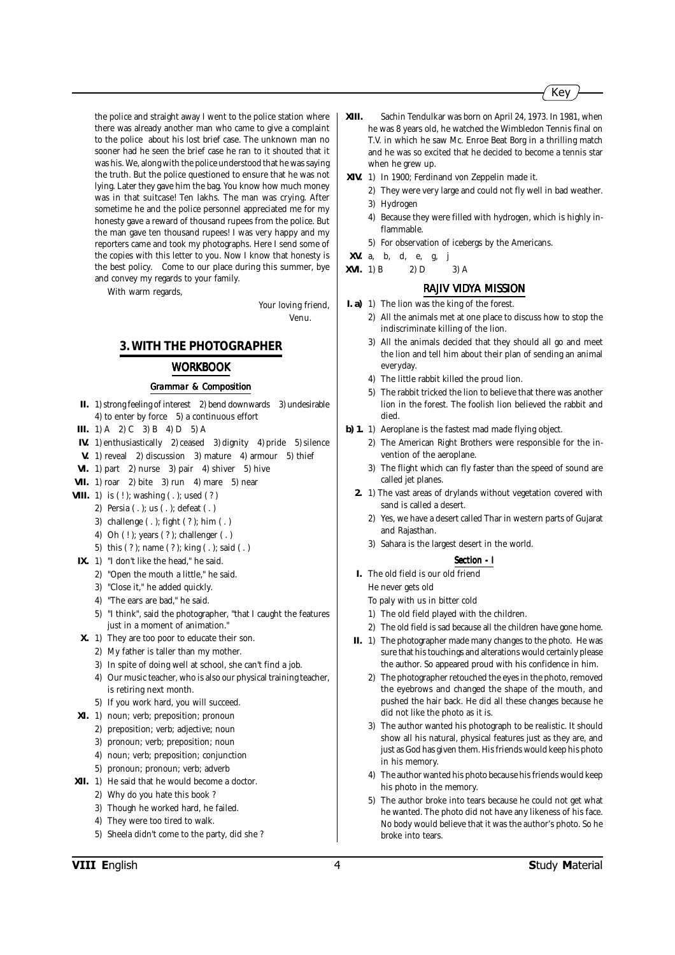the police and straight away I went to the police station where there was already another man who came to give a complaint to the police about his lost brief case. The unknown man no sooner had he seen the brief case he ran to it shouted that it was his. We, along with the police understood that he was saying the truth. But the police questioned to ensure that he was not lying. Later they gave him the bag. You know how much money was in that suitcase! Ten lakhs. The man was crying. After sometime he and the police personnel appreciated me for my honesty gave a reward of thousand rupees from the police. But the man gave ten thousand rupees! I was very happy and my reporters came and took my photographs. Here I send some of the copies with this letter to you. Now I know that honesty is the best policy. Come to our place during this summer, bye and convey my regards to your family.

With warm regards,

Your loving friend, Venu.

#### **3. WITH THE PHOTOGRAPHER**

#### *WORKBOOK*

#### *Grammar & Composition*

- **II.** 1) strong feeling of interest 2) bend downwards 3) undesirable 4) to enter by force 5) a continuous effort
- **III.** 1) A 2) C 3) B 4) D 5) A
- **IV.** 1) enthusiastically 2) ceased 3) dignity 4) pride 5) silence
- **V.** 1) reveal 2) discussion 3) mature 4) armour 5) thief
- **VI.** 1) part 2) nurse 3) pair 4) shiver 5) hive
- **VII.** 1) roar 2) bite 3) run 4) mare 5) near
- **VIII.** 1) is  $(!)$ ; washing  $(.)$ ; used  $(?)$ 
	- 2) Persia ( . ); us ( . ); defeat ( . )
	- 3) challenge ( . ); fight ( ? ); him ( . )
	- 4) Oh ( ! ); years ( ? ); challenger ( . )
	- 5) this ( ? ); name ( ? ); king ( . ); said ( . )
- **IX.** 1) "I don't like the head," he said.
	- 2) "Open the mouth a little," he said.
	- 3) "Close it," he added quickly.
	- 4) "The ears are bad," he said.
	- 5) "I think", said the photographer, "that I caught the features just in a moment of animation."
- **X.** 1) They are too poor to educate their son.
	- 2) My father is taller than my mother.
	- 3) In spite of doing well at school, she can't find a job.
	- 4) Our music teacher, who is also our physical training teacher, is retiring next month.
	- 5) If you work hard, you will succeed.
- **XI.** 1) noun; verb; preposition; pronoun
	- 2) preposition; verb; adjective; noun
	- 3) pronoun; verb; preposition; noun
	- 4) noun; verb; preposition; conjunction
	- 5) pronoun; pronoun; verb; adverb
- **XII.** 1) He said that he would become a doctor.
	- 2) Why do you hate this book ?
	- 3) Though he worked hard, he failed.
	- 4) They were too tired to walk.
	- 5) Sheela didn't come to the party, did she ?
- **XIII.** Sachin Tendulkar was born on April 24, 1973. In 1981, when he was 8 years old, he watched the Wimbledon Tennis final on T.V. in which he saw Mc. Enroe Beat Borg in a thrilling match and he was so excited that he decided to become a tennis star when he grew up.
- **XIV.** 1) In 1900; Ferdinand von Zeppelin made it.
	- 2) They were very large and could not fly well in bad weather. 3) Hydrogen
	- 4) Because they were filled with hydrogen, which is highly inflammable.
	- 5) For observation of icebergs by the Americans.
- **XV.** a, b, d, e, g,
- **XVI.** 1) B 2) D 3) A

#### *RAJIV VIDYA MISSION*

- **I. a)** 1) The lion was the king of the forest.
	- 2) All the animals met at one place to discuss how to stop the indiscriminate killing of the lion.
	- 3) All the animals decided that they should all go and meet the lion and tell him about their plan of sending an animal everyday.
	- 4) The little rabbit killed the proud lion.
	- 5) The rabbit tricked the lion to believe that there was another lion in the forest. The foolish lion believed the rabbit and died.
- **b) 1.** 1) Aeroplane is the fastest mad made flying object.
	- 2) The American Right Brothers were responsible for the invention of the aeroplane.
	- 3) The flight which can fly faster than the speed of sound are called jet planes.
	- **2.** 1) The vast areas of drylands without vegetation covered with sand is called a desert.
		- 2) Yes, we have a desert called Thar in western parts of Gujarat and Rajasthan.
		- 3) Sahara is the largest desert in the world.

#### *Section - I*

- **I.** The old field is our old friend He never gets old
	- To paly with us in bitter cold
	- 1) The old field played with the children.
	- 2) The old field is sad because all the children have gone home.
- **II.** 1) The photographer made many changes to the photo. He was sure that his touchings and alterations would certainly please the author. So appeared proud with his confidence in him.
	- 2) The photographer retouched the eyes in the photo, removed the eyebrows and changed the shape of the mouth, and pushed the hair back. He did all these changes because he did not like the photo as it is.
	- 3) The author wanted his photograph to be realistic. It should show all his natural, physical features just as they are, and just as God has given them. His friends would keep his photo in his memory.
	- 4) The author wanted his photo because his friends would keep his photo in the memory.
	- 5) The author broke into tears because he could not get what he wanted. The photo did not have any likeness of his face. No body would believe that it was the author's photo. So he broke into tears.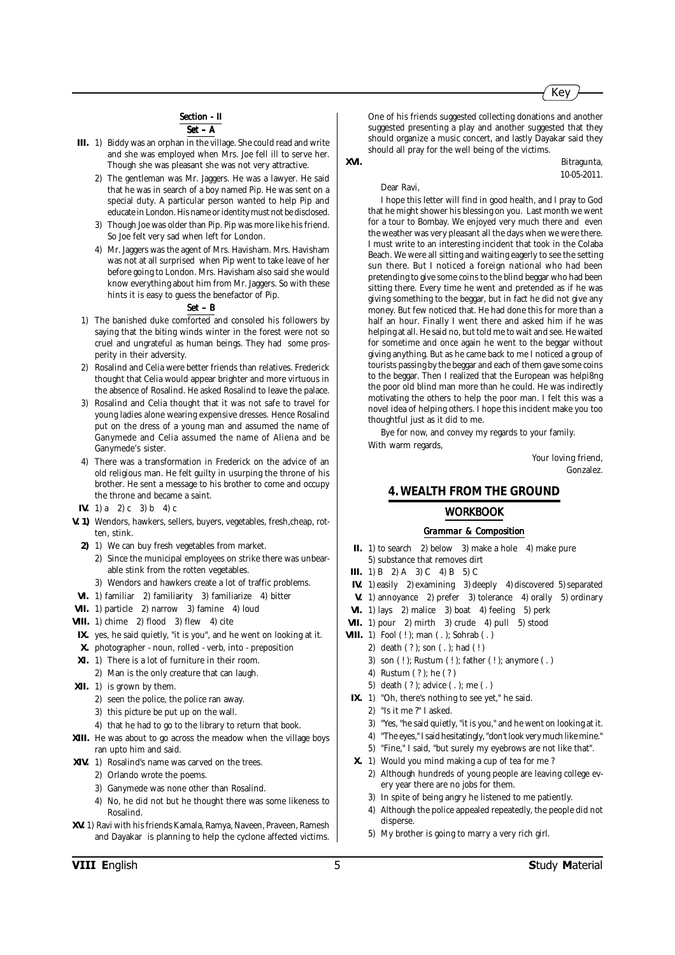#### **Section - II**

*Set – A*

- **III.** 1) Biddy was an orphan in the village. She could read and write and she was employed when Mrs. Joe fell ill to serve her. Though she was pleasant she was not very attractive.
	- 2) The gentleman was Mr. Jaggers. He was a lawyer. He said that he was in search of a boy named Pip. He was sent on a special duty. A particular person wanted to help Pip and educate in London. His name or identity must not be disclosed.
	- 3) Though Joe was older than Pip. Pip was more like his friend. So Joe felt very sad when left for London.
	- 4) Mr. Jaggers was the agent of Mrs. Havisham. Mrs. Havisham was not at all surprised when Pip went to take leave of her before going to London. Mrs. Havisham also said she would know everything about him from Mr. Jaggers. So with these hints it is easy to guess the benefactor of Pip.

#### *Set – B*

- 1) The banished duke comforted and consoled his followers by saying that the biting winds winter in the forest were not so cruel and ungrateful as human beings. They had some prosperity in their adversity.
- 2) Rosalind and Celia were better friends than relatives. Frederick thought that Celia would appear brighter and more virtuous in the absence of Rosalind. He asked Rosalind to leave the palace.
- 3) Rosalind and Celia thought that it was not safe to travel for young ladies alone wearing expensive dresses. Hence Rosalind put on the dress of a young man and assumed the name of Ganymede and Celia assumed the name of Aliena and be Ganymede's sister.
- 4) There was a transformation in Frederick on the advice of an old religious man. He felt guilty in usurping the throne of his brother. He sent a message to his brother to come and occupy the throne and became a saint.
- **IV.** 1) a 2) c 3) b 4) c
- **V. 1)** Wendors, hawkers, sellers, buyers, vegetables, fresh,cheap, rotten, stink.
	- **2)** 1) We can buy fresh vegetables from market.
		- 2) Since the municipal employees on strike there was unbearable stink from the rotten vegetables.
		- 3) Wendors and hawkers create a lot of traffic problems.
- **VI.** 1) familiar 2) familiarity 3) familiarize 4) bitter
- **VII.** 1) particle 2) narrow 3) famine 4) loud
- **VIII.** 1) chime 2) flood 3) flew 4) cite
- **IX.** yes, he said quietly, "it is you", and he went on looking at it.
- **X.** photographer noun, rolled verb, into preposition
- **XI.** 1) There is a lot of furniture in their room.
- 2) Man is the only creature that can laugh.
- **XII.** 1) is grown by them.
	- 2) seen the police, the police ran away.
	- 3) this picture be put up on the wall.
	- 4) that he had to go to the library to return that book.
- **XIII.** He was about to go across the meadow when the village boys ran upto him and said.
- **XIV.** 1) Rosalind's name was carved on the trees.
	- 2) Orlando wrote the poems.
	- 3) Ganymede was none other than Rosalind.
	- 4) No, he did not but he thought there was some likeness to Rosalind.
- **XV.** 1) Ravi with his friends Kamala, Ramya, Naveen, Praveen, Ramesh and Dayakar is planning to help the cyclone affected victims.

One of his friends suggested collecting donations and another suggested presenting a play and another suggested that they should organize a music concert, and lastly Dayakar said they should all pray for the well being of the victims.

**XVI.** Bitragunta, 10-05-2011.

Key

Dear Ravi,

I hope this letter will find in good health, and I pray to God that he might shower his blessing on you. Last month we went for a tour to Bombay. We enjoyed very much there and even the weather was very pleasant all the days when we were there. I must write to an interesting incident that took in the Colaba Beach. We were all sitting and waiting eagerly to see the setting sun there. But I noticed a foreign national who had been pretending to give some coins to the blind beggar who had been sitting there. Every time he went and pretended as if he was giving something to the beggar, but in fact he did not give any money. But few noticed that. He had done this for more than a half an hour. Finally I went there and asked him if he was helping at all. He said no, but told me to wait and see. He waited for sometime and once again he went to the beggar without giving anything. But as he came back to me I noticed a group of tourists passing by the beggar and each of them gave some coins to the beggar. Then I realized that the European was helpi8ng the poor old blind man more than he could. He was indirectly motivating the others to help the poor man. I felt this was a novel idea of helping others. I hope this incident make you too thoughtful just as it did to me.

Bye for now, and convey my regards to your family. With warm regards,

> Your loving friend, Gonzalez.

#### **4. WEALTH FROM THE GROUND**

#### *WORKBOOK*

- **II.** 1) to search 2) below 3) make a hole 4) make pure 5) substance that removes dirt
- **III.** 1) B 2) A 3) C 4) B 5) C
- **IV.** 1) easily 2) examining 3) deeply 4) discovered 5) separated
- **V.** 1) annoyance 2) prefer 3) tolerance 4) orally 5) ordinary
- **VI.** 1) lays 2) malice 3) boat 4) feeling 5) perk
- **VII.** 1) pour 2) mirth 3) crude 4) pull 5) stood
- **VIII.** 1) Fool ( ! ); man ( . ); Sohrab ( . )
	- 2) death ( ? ); son ( . ); had ( ! )
	- 3) son ( ! ); Rustum ( ! ); father ( ! ); anymore ( . )
	- 4) Rustum ( ? ); he ( ? )
	- 5) death ( ? ); advice ( . ); me ( . )
- **IX.** 1) "Oh, there's nothing to see yet," he said.
	- 2) "Is it me ?" I asked.
	- 3) "Yes, "he said quietly, "it is you," and he went on looking at it.
	- 4) "The eyes," I said hesitatingly, "don't look very much like mine."
	- 5) "Fine," I said, "but surely my eyebrows are not like that".
- **X.** 1) Would you mind making a cup of tea for me ?
	- 2) Although hundreds of young people are leaving college every year there are no jobs for them.
	- 3) In spite of being angry he listened to me patiently.
	- 4) Although the police appealed repeatedly, the people did not disperse.
	- 5) My brother is going to marry a very rich girl.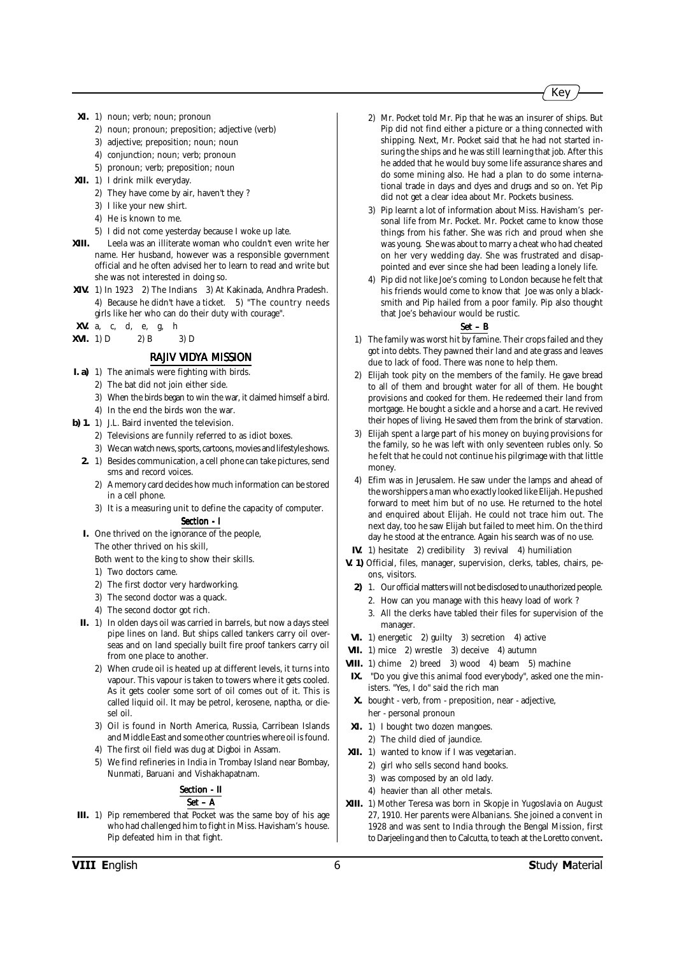- **XI.** 1) noun; verb; noun; pronoun
	- 2) noun; pronoun; preposition; adjective (verb)
	- 3) adjective; preposition; noun; noun
	- 4) conjunction; noun; verb; pronoun
	- 5) pronoun; verb; preposition; noun
- **XII.** 1) I drink milk everyday.
	- 2) They have come by air, haven't they ?
	- 3) I like your new shirt.
	- 4) He is known to me.
	- 5) I did not come yesterday because I woke up late.
- **XIII.** Leela was an illiterate woman who couldn't even write her name. Her husband, however was a responsible government official and he often advised her to learn to read and write but she was not interested in doing so.
- **XIV.** 1) In 1923 2) The Indians 3) At Kakinada, Andhra Pradesh. 4) Because he didn't have a ticket. 5) "The country needs girls like her who can do their duty with courage".
- **XV.** a, c, d, e, g, h
- **XVI.** 1) D 2) B 3) D

#### *RAJIV VIDYA MISSION*

- **I. a)** 1) The animals were fighting with birds.
	- 2) The bat did not join either side.
		- 3) When the birds began to win the war, it claimed himself a bird.
	- 4) In the end the birds won the war.
- **b) 1.** 1) J.L. Baird invented the television.
	- 2) Televisions are funnily referred to as idiot boxes.
	- 3) We can watch news, sports, cartoons, movies and lifestyle shows.
	- **2.** 1) Besides communication, a cell phone can take pictures, send sms and record voices.
		- 2) A memory card decides how much information can be stored in a cell phone.
		- 3) It is a measuring unit to define the capacity of computer. *Section - I Section*

**I.** One thrived on the ignorance of the people,

- The other thrived on his skill,
- Both went to the king to show their skills.
- 1) Two doctors came.
- 2) The first doctor very hardworking.
- 3) The second doctor was a quack.
- 4) The second doctor got rich.
- **II.** 1) In olden days oil was carried in barrels, but now a days steel pipe lines on land. But ships called tankers carry oil overseas and on land specially built fire proof tankers carry oil from one place to another.
	- 2) When crude oil is heated up at different levels, it turns into vapour. This vapour is taken to towers where it gets cooled. As it gets cooler some sort of oil comes out of it. This is called liquid oil. It may be petrol, kerosene, naptha, or diesel oil.
	- 3) Oil is found in North America, Russia, Carribean Islands and Middle East and some other countries where oil is found.
	- 4) The first oil field was dug at Digboi in Assam.
	- 5) We find refineries in India in Trombay Island near Bombay, Nunmati, Baruani and Vishakhapatnam.

#### **Section - II** *Set – A*

**III.** 1) Pip remembered that Pocket was the same boy of his age who had challenged him to fight in Miss. Havisham's house. Pip defeated him in that fight.

- 2) Mr. Pocket told Mr. Pip that he was an insurer of ships. But Pip did not find either a picture or a thing connected with shipping. Next, Mr. Pocket said that he had not started insuring the ships and he was still learning that job. After this he added that he would buy some life assurance shares and do some mining also. He had a plan to do some international trade in days and dyes and drugs and so on. Yet Pip did not get a clear idea about Mr. Pockets business.
- 3) Pip learnt a lot of information about Miss. Havisham's personal life from Mr. Pocket. Mr. Pocket came to know those things from his father. She was rich and proud when she was young. She was about to marry a cheat who had cheated on her very wedding day. She was frustrated and disappointed and ever since she had been leading a lonely life.
- 4) Pip did not like Joe's coming to London because he felt that his friends would come to know that Joe was only a blacksmith and Pip hailed from a poor family. Pip also thought that Joe's behaviour would be rustic.

- 1) The family was worst hit by famine. Their crops failed and they got into debts. They pawned their land and ate grass and leaves due to lack of food. There was none to help them.
- 2) Elijah took pity on the members of the family. He gave bread to all of them and brought water for all of them. He bought provisions and cooked for them. He redeemed their land from mortgage. He bought a sickle and a horse and a cart. He revived their hopes of living. He saved them from the brink of starvation.
- 3) Elijah spent a large part of his money on buying provisions for the family, so he was left with only seventeen rubles only. So he felt that he could not continue his pilgrimage with that little money.
- 4) Efim was in Jerusalem. He saw under the lamps and ahead of the worshippers a man who exactly looked like Elijah. He pushed forward to meet him but of no use. He returned to the hotel and enquired about Elijah. He could not trace him out. The next day, too he saw Elijah but failed to meet him. On the third day he stood at the entrance. Again his search was of no use.
- **IV.** 1) hesitate 2) credibility 3) revival 4) humiliation
- **V. 1)** Official, files, manager, supervision, clerks, tables, chairs, peons, visitors.
	- **2)** 1. Our official matters will not be disclosed to unauthorized people.
		- 2. How can you manage with this heavy load of work ?
		- 3. All the clerks have tabled their files for supervision of the manager.
- **VI.** 1) energetic 2) guilty 3) secretion 4) active
- **VII.** 1) mice 2) wrestle 3) deceive 4) autumn
- **VIII.** 1) chime 2) breed 3) wood 4) beam 5) machine
- **IX.** "Do you give this animal food everybody", asked one the ministers. "Yes, I do" said the rich man
- **X.** bought verb, from preposition, near adjective, her - personal pronoun
- **XI.** 1) I bought two dozen mangoes.
	- 2) The child died of jaundice.
- **XII.** 1) wanted to know if I was vegetarian.
	- 2) girl who sells second hand books.
	- 3) was composed by an old lady.
	- 4) heavier than all other metals.
- **XIII.** 1) Mother Teresa was born in Skopje in Yugoslavia on August 27, 1910. Her parents were Albanians. She joined a convent in 1928 and was sent to India through the Bengal Mission, first to Darjeeling and then to Calcutta, to teach at the Loretto convent.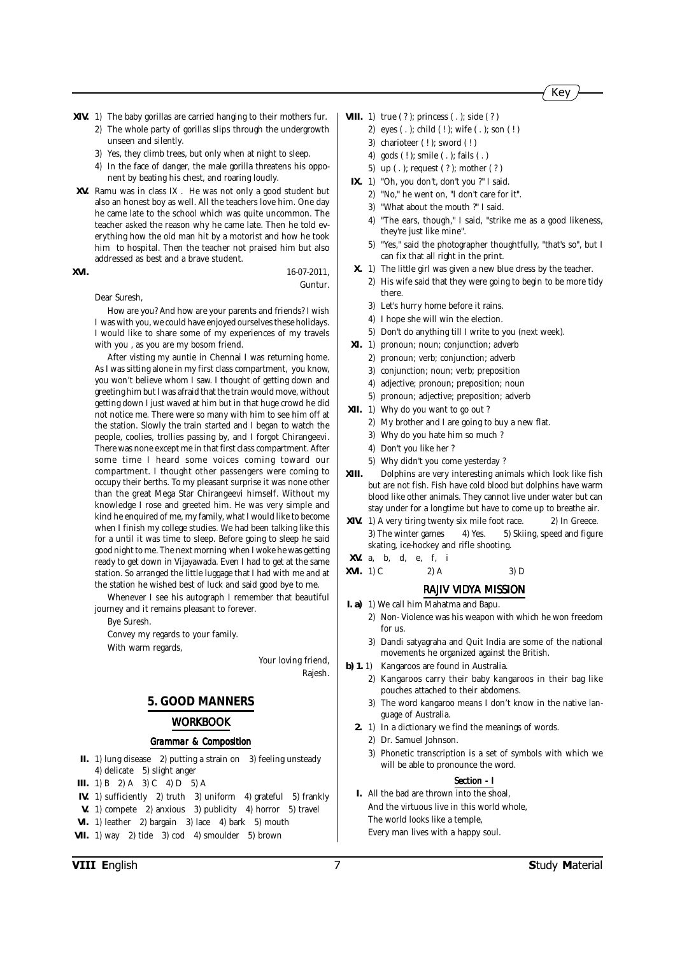- **XIV.** 1) The baby gorillas are carried hanging to their mothers fur. 2) The whole party of gorillas slips through the undergrowth unseen and silently.
	- 3) Yes, they climb trees, but only when at night to sleep.
	- 4) In the face of danger, the male gorilla threatens his opponent by beating his chest, and roaring loudly.
- **XV.** Ramu was in class IX . He was not only a good student but also an honest boy as well. All the teachers love him. One day he came late to the school which was quite uncommon. The teacher asked the reason why he came late. Then he told everything how the old man hit by a motorist and how he took him to hospital. Then the teacher not praised him but also addressed as best and a brave student.

#### **XVI.** 16-07-2011, Guntur.

Dear Suresh,

How are you? And how are your parents and friends? I wish I was with you, we could have enjoyed ourselves these holidays. I would like to share some of my experiences of my travels with you , as you are my bosom friend.

After visting my auntie in Chennai I was returning home. As I was sitting alone in my first class compartment, you know, you won't believe whom I saw. I thought of getting down and greeting him but I was afraid that the train would move, without getting down I just waved at him but in that huge crowd he did not notice me. There were so many with him to see him off at the station. Slowly the train started and I began to watch the people, coolies, trollies passing by, and I forgot Chirangeevi. There was none except me in that first class compartment. After some time I heard some voices coming toward our compartment. I thought other passengers were coming to occupy their berths. To my pleasant surprise it was none other than the great Mega Star Chirangeevi himself. Without my knowledge I rose and greeted him. He was very simple and kind he enquired of me, my family, what I would like to become when I finish my college studies. We had been talking like this for a until it was time to sleep. Before going to sleep he said good night to me. The next morning when I woke he was getting ready to get down in Vijayawada. Even I had to get at the same station. So arranged the little luggage that I had with me and at the station he wished best of luck and said good bye to me.

Whenever I see his autograph I remember that beautiful journey and it remains pleasant to forever.

Bye Suresh.

Convey my regards to your family. With warm regards,

> Your loving friend, Rajesh.

## **5. GOOD MANNERS**

#### *WORKBOOK*

#### *Grammar & Composition*

- **II.** 1) lung disease 2) putting a strain on 3) feeling unsteady 4) delicate 5) slight anger
- **III.** 1) B 2) A 3) C 4) D 5) A
- **IV.** 1) sufficiently 2) truth 3) uniform 4) grateful 5) frankly
- **V.** 1) compete 2) anxious 3) publicity 4) horror 5) travel
- **VI.** 1) leather 2) bargain 3) lace 4) bark 5) mouth
- **VII.** 1) way 2) tide 3) cod 4) smoulder 5) brown

VIII

- **VIII.** 1) true (?); princess (.); side (?)
	- 2) eyes ( . ); child ( ! ); wife ( . ); son ( ! )
	- 3) charioteer (!); sword (!)
	- 4) gods ( ! ); smile ( . ); fails ( . )
	- 5) up ( . ); request ( ? ); mother ( ? )
	- **IX.** 1) "Oh, you don't, don't you ?" I said.
		- 2) "No," he went on, "I don't care for it".
		- 3) "What about the mouth ?" I said.
		- 4) "The ears, though," I said, "strike me as a good likeness, they're just like mine".
		- 5) "Yes," said the photographer thoughtfully, "that's so", but I can fix that all right in the print.
	- **X.** 1) The little girl was given a new blue dress by the teacher.
		- 2) His wife said that they were going to begin to be more tidy there.
		- 3) Let's hurry home before it rains.
		- 4) I hope she will win the election.
		- 5) Don't do anything till I write to you (next week).
- **XI.** 1) pronoun; noun; conjunction; adverb
	- 2) pronoun; verb; conjunction; adverb
	- 3) conjunction; noun; verb; preposition
	- 4) adjective; pronoun; preposition; noun
	- 5) pronoun; adjective; preposition; adverb
- **XII.** 1) Why do you want to go out ?
	- 2) My brother and I are going to buy a new flat.
	- 3) Why do you hate him so much ?
	- 4) Don't you like her ?
	- 5) Why didn't you come yesterday ?
- **XIII.** Dolphins are very interesting animals which look like fish but are not fish. Fish have cold blood but dolphins have warm blood like other animals. They cannot live under water but can stay under for a longtime but have to come up to breathe air.
- **XIV.** 1) A very tiring twenty six mile foot race. 2) In Greece. 3) The winter games 4) Yes. 5) Skiing, speed and figure skating, ice-hockey and rifle shooting.
- **XV.** a, b, d, e, f, i
- **XVI.** 1) C 2) A 3) D

#### *RAJIV VIDYA MISSION*

- **I. a)** 1) We call him Mahatma and Bapu.
	- 2) Non- Violence was his weapon with which he won freedom for us.
	- 3) Dandi satyagraha and Quit India are some of the national movements he organized against the British.
- **b) 1.** 1) Kangaroos are found in Australia.
	- 2) Kangaroos carry their baby kangaroos in their bag like pouches attached to their abdomens.
	- 3) The word kangaroo means I don't know in the native language of Australia.
	- **2.** 1) In a dictionary we find the meanings of words.
		- 2) Dr. Samuel Johnson.
		- 3) Phonetic transcription is a set of symbols with which we will be able to pronounce the word.

#### *Section - I*

**I.** All the bad are thrown into the shoal, And the virtuous live in this world whole, The world looks like a temple, Every man lives with a happy soul.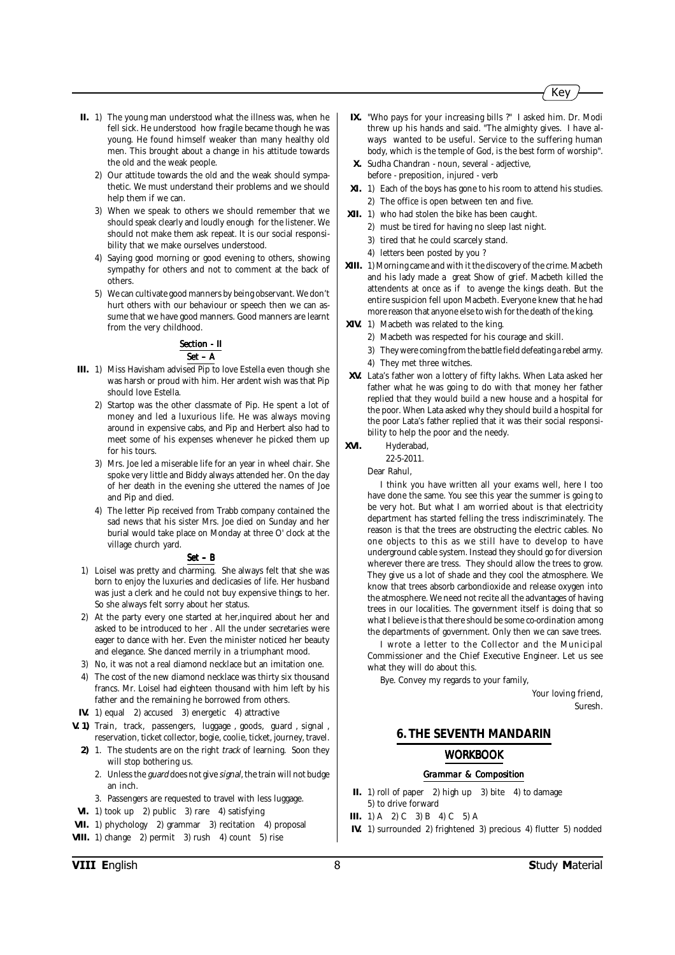- **II.** 1) The young man understood what the illness was, when he fell sick. He understood how fragile became though he was young. He found himself weaker than many healthy old men. This brought about a change in his attitude towards the old and the weak people.
	- 2) Our attitude towards the old and the weak should sympathetic. We must understand their problems and we should help them if we can.
	- 3) When we speak to others we should remember that we should speak clearly and loudly enough for the listener. We should not make them ask repeat. It is our social responsibility that we make ourselves understood.
	- 4) Saying good morning or good evening to others, showing sympathy for others and not to comment at the back of others.
	- 5) We can cultivate good manners by being observant. We don't hurt others with our behaviour or speech then we can assume that we have good manners. Good manners are learnt from the very childhood.

### **Section - II** *Set – A*

- **III.** 1) Miss Havisham advised Pip to love Estella even though she was harsh or proud with him. Her ardent wish was that Pip should love Estella.
	- 2) Startop was the other classmate of Pip. He spent a lot of money and led a luxurious life. He was always moving around in expensive cabs, and Pip and Herbert also had to meet some of his expenses whenever he picked them up for his tours.
	- 3) Mrs. Joe led a miserable life for an year in wheel chair. She spoke very little and Biddy always attended her. On the day of her death in the evening she uttered the names of Joe and Pip and died.
	- 4) The letter Pip received from Trabb company contained the sad news that his sister Mrs. Joe died on Sunday and her burial would take place on Monday at three O' clock at the village church yard.

#### *Set – B*

- 1) Loisel was pretty and charming. She always felt that she was born to enjoy the luxuries and declicasies of life. Her husband was just a clerk and he could not buy expensive things to her. So she always felt sorry about her status.
- 2) At the party every one started at her,inquired about her and asked to be introduced to her . All the under secretaries were eager to dance with her. Even the minister noticed her beauty and elegance. She danced merrily in a triumphant mood.
- 3) No, it was not a real diamond necklace but an imitation one.
- 4) The cost of the new diamond necklace was thirty six thousand francs. Mr. Loisel had eighteen thousand with him left by his father and the remaining he borrowed from others.
- **IV.** 1) equal 2) accused 3) energetic 4) attractive
- **V. 1)** Train, track, passengers, luggage , goods, guard , signal , reservation, ticket collector, bogie, coolie, ticket, journey, travel.
	- **2)** 1. The students are on the right track of learning. Soon they will stop bothering us.
		- 2. Unless the guard does not give signal, the train will not budge an inch.
		- 3. Passengers are requested to travel with less luggage.
- **VI.** 1) took up 2) public 3) rare 4) satisfying
- **VII.** 1) phychology 2) grammar 3) recitation 4) proposal
- **VIII.** 1) change 2) permit 3) rush 4) count 5) rise
- **IX.** "Who pays for your increasing bills ?" I asked him. Dr. Modi threw up his hands and said. "The almighty gives. I have always wanted to be useful. Service to the suffering human body, which is the temple of God, is the best form of worship".
- **X.** Sudha Chandran noun, several adjective, before - preposition, injured - verb
- **XI.** 1) Each of the boys has gone to his room to attend his studies. 2) The office is open between ten and five.
- **XII.** 1) who had stolen the bike has been caught.
	- 2) must be tired for having no sleep last night.
		- 3) tired that he could scarcely stand.
		- 4) letters been posted by you ?
- **XIII.** 1) Morning came and with it the discovery of the crime. Macbeth and his lady made a great Show of grief. Macbeth killed the attendents at once as if to avenge the kings death. But the entire suspicion fell upon Macbeth. Everyone knew that he had more reason that anyone else to wish for the death of the king.
- **XIV.** 1) Macbeth was related to the king.
	- 2) Macbeth was respected for his courage and skill.
	- 3) They were coming from the battle field defeating a rebel army. 4) They met three witches.
- **XV.** Lata's father won a lottery of fifty lakhs. When Lata asked her father what he was going to do with that money her father replied that they would build a new house and a hospital for the poor. When Lata asked why they should build a hospital for the poor Lata's father replied that it was their social responsibility to help the poor and the needy.
- **XVI.** Hyderabad,

22-5-2011.

Dear Rahul,

I think you have written all your exams well, here I too have done the same. You see this year the summer is going to be very hot. But what I am worried about is that electricity department has started felling the tress indiscriminately. The reason is that the trees are obstructing the electric cables. No one objects to this as we still have to develop to have underground cable system. Instead they should go for diversion wherever there are tress. They should allow the trees to grow. They give us a lot of shade and they cool the atmosphere. We know that trees absorb carbondioxide and release oxygen into the atmosphere. We need not recite all the advantages of having trees in our localities. The government itself is doing that so what I believe is that there should be some co-ordination among the departments of government. Only then we can save trees.

I wrote a letter to the Collector and the Municipal Commissioner and the Chief Executive Engineer. Let us see what they will do about this.

Bye. Convey my regards to your family,

Your loving friend, Suresh.

#### **6. THE SEVENTH MANDARIN**

#### *WORKBOOK*

- **II.** 1) roll of paper 2) high up 3) bite 4) to damage 5) to drive forward
- **III.** 1) A 2) C 3) B 4) C 5) A
- **IV.** 1) surrounded 2) frightened 3) precious 4) flutter 5) nodded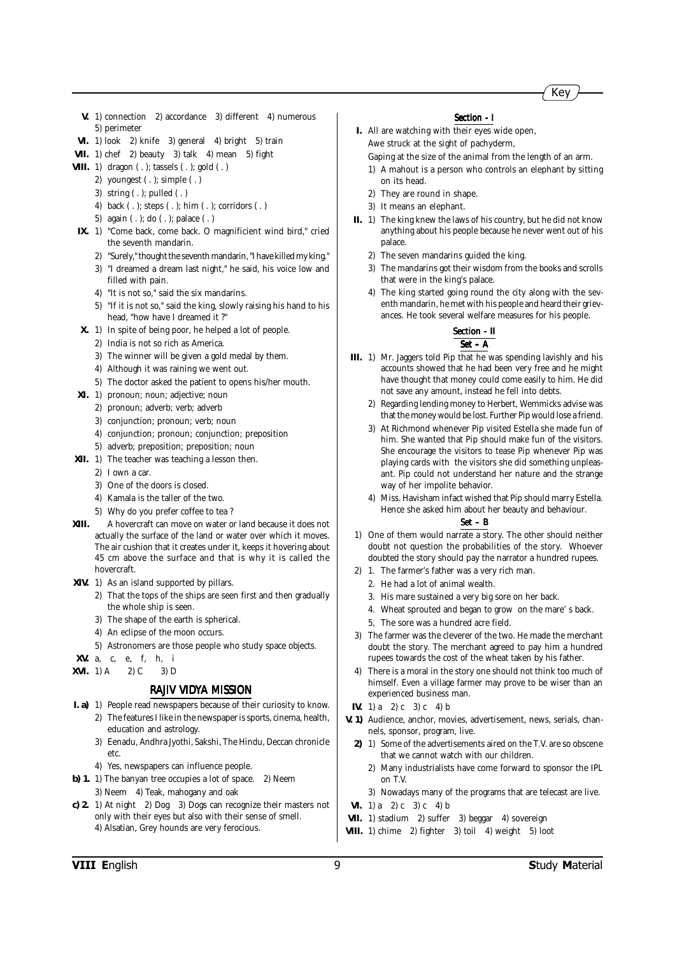

- **V.** 1) connection 2) accordance 3) different 4) numerous 5) perimeter
- **VI.** 1) look 2) knife 3) general 4) bright 5) train
- **VII.** 1) chef 2) beauty 3) talk 4) mean 5) fight
- **VIII.** 1) dragon ( . ); tassels ( . ); gold ( . )
	- 2) youngest ( . ); simple ( . )
	- 3) string ( . ); pulled ( . )
	- 4) back ( . ); steps ( . ); him ( . ); corridors ( . )
	- 5) again ( . ); do ( . ); palace ( . )
- **IX.** 1) "Come back, come back. O magnificient wind bird," cried the seventh mandarin.
	- 2) "Surely," thought the seventh mandarin, "I have killed my king."
	- 3) "I dreamed a dream last night," he said, his voice low and filled with pain.
	- 4) "It is not so," said the six mandarins.
	- 5) "If it is not so," said the king, slowly raising his hand to his head, "how have I dreamed it ?"
- **X.** 1) In spite of being poor, he helped a lot of people.
	- 2) India is not so rich as America.
	- 3) The winner will be given a gold medal by them.
	- 4) Although it was raining we went out.
	- 5) The doctor asked the patient to opens his/her mouth.
- **XI.** 1) pronoun; noun; adjective; noun
	- 2) pronoun; adverb; verb; adverb
	- 3) conjunction; pronoun; verb; noun
	- 4) conjunction; pronoun; conjunction; preposition
	- 5) adverb; preposition; preposition; noun
- **XII.** 1) The teacher was teaching a lesson then.
	- 2) I own a car.
	- 3) One of the doors is closed.
	- 4) Kamala is the taller of the two.
	- 5) Why do you prefer coffee to tea ?
- **XIII.** A hovercraft can move on water or land because it does not actually the surface of the land or water over which it moves. The air cushion that it creates under it, keeps it hovering about 45 cm above the surface and that is why it is called the hovercraft.
- **XIV.** 1) As an island supported by pillars.
	- 2) That the tops of the ships are seen first and then gradually the whole ship is seen.
	- 3) The shape of the earth is spherical.
	- 4) An eclipse of the moon occurs.
		- 5) Astronomers are those people who study space objects.
- **XV.** a, c, e, f, h, i
- **XVI.** 1) A 2) C 3) D

#### *RAJIV VIDYA MISSION*

- **I. a)** 1) People read newspapers because of their curiosity to know. 2) The features I like in the newspaper is sports, cinema, health, education and astrology.
	- 3) Eenadu, Andhra Jyothi, Sakshi, The Hindu, Deccan chronicle etc.
	- 4) Yes, newspapers can influence people.
- **b) 1.** 1) The banyan tree occupies a lot of space. 2) Neem
- 3) Neem 4) Teak, mahogany and oak
- **c) 2.** 1) At night 2) Dog 3) Dogs can recognize their masters not only with their eyes but also with their sense of smell. 4) Alsatian, Grey hounds are very ferocious.

#### *Section - I*

- **I.** All are watching with their eyes wide open, Awe struck at the sight of pachyderm,
	- Gaping at the size of the animal from the length of an arm. 1) A mahout is a person who controls an elephant by sitting
	- on its head. 2) They are round in shape.
	- 3) It means an elephant.
- **II.** 1) The king knew the laws of his country, but he did not know anything about his people because he never went out of his palace.
	- 2) The seven mandarins guided the king.
	- 3) The mandarins got their wisdom from the books and scrolls that were in the king's palace.
	- 4) The king started going round the city along with the seventh mandarin, he met with his people and heard their grievances. He took several welfare measures for his people.

#### *Section - II Section - II Set – A*

- **III.** 1) Mr. Jaggers told Pip that he was spending lavishly and his accounts showed that he had been very free and he might have thought that money could come easily to him. He did not save any amount, instead he fell into debts.
	- 2) Regarding lending money to Herbert, Wemmicks advise was that the money would be lost. Further Pip would lose a friend.
	- 3) At Richmond whenever Pip visited Estella she made fun of him. She wanted that Pip should make fun of the visitors. She encourage the visitors to tease Pip whenever Pip was playing cards with the visitors she did something unpleasant. Pip could not understand her nature and the strange way of her impolite behavior.
	- 4) Miss. Havisham infact wished that Pip should marry Estella. Hence she asked him about her beauty and behaviour.

- 1) One of them would narrate a story. The other should neither doubt not question the probabilities of the story. Whoever doubted the story should pay the narrator a hundred rupees.
- 2) 1. The farmer's father was a very rich man.
	- 2. He had a lot of animal wealth.
	- 3. His mare sustained a very big sore on her back.
	- 4. Wheat sprouted and began to grow on the mare' s back.
	- 5, The sore was a hundred acre field.
- 3) The farmer was the cleverer of the two. He made the merchant doubt the story. The merchant agreed to pay him a hundred rupees towards the cost of the wheat taken by his father.
- 4) There is a moral in the story one should not think too much of himself. Even a village farmer may prove to be wiser than an experienced business man.
- **IV.** 1) a 2) c 3) c 4) b
- **V. 1)** Audience, anchor, movies, advertisement, news, serials, channels, sponsor, program, live.
	- **2)** 1) Some of the advertisements aired on the T.V. are so obscene that we cannot watch with our children.
		- 2) Many industrialists have come forward to sponsor the IPL on T.V.
		- 3) Nowadays many of the programs that are telecast are live.
- **VI.** 1) a 2) c 3) c 4) b
- **VII.** 1) stadium 2) suffer 3) beggar 4) sovereign
- **VIII.** 1) chime 2) fighter 3) toil 4) weight 5) loot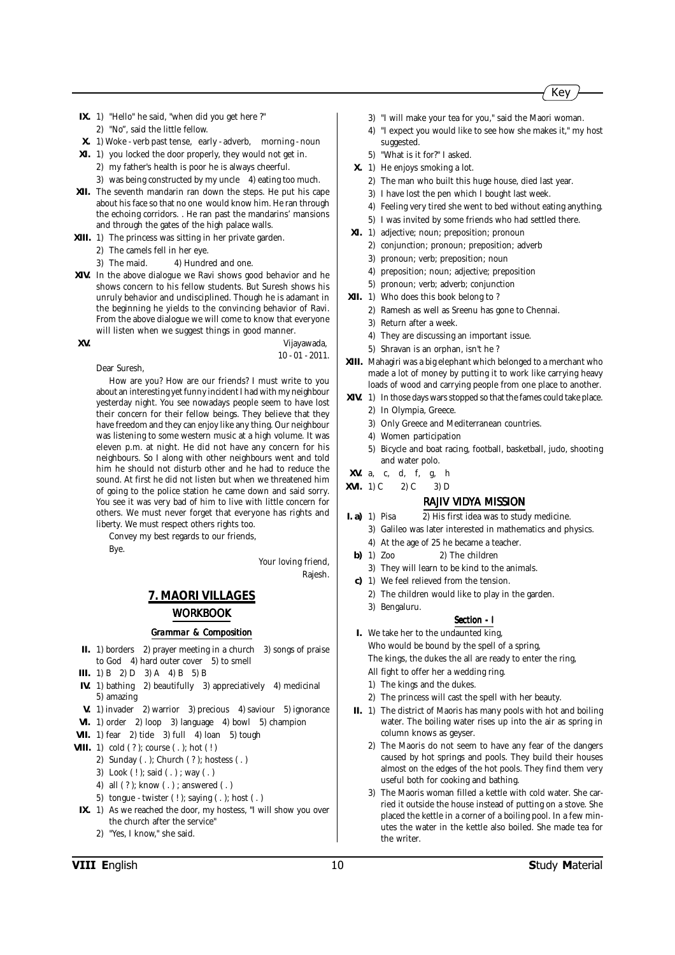- **IX.** 1) "Hello" he said, "when did you get here ?" 2) "No", said the little fellow.
- **X.** 1) Woke verb past tense, early adverb, morning noun
- **XI.** 1) you locked the door properly, they would not get in. 2) my father's health is poor he is always cheerful. 3) was being constructed by my uncle 4) eating too much.
- **XII.** The seventh mandarin ran down the steps. He put his cape about his face so that no one would know him. He ran through the echoing corridors. . He ran past the mandarins' mansions and through the gates of the high palace walls.
- **XIII.** 1) The princess was sitting in her private garden.
	- 2) The camels fell in her eye.
	- 3) The maid. 4) Hundred and one.
- **XIV.** In the above dialogue we Ravi shows good behavior and he shows concern to his fellow students. But Suresh shows his unruly behavior and undisciplined. Though he is adamant in the beginning he yields to the convincing behavior of Ravi. From the above dialogue we will come to know that everyone will listen when we suggest things in good manner.

**XV.** Vijayawada,

10 - 01 - 2011.

Dear Suresh,

How are you? How are our friends? I must write to you about an interesting yet funny incident I had with my neighbour yesterday night. You see nowadays people seem to have lost their concern for their fellow beings. They believe that they have freedom and they can enjoy like any thing. Our neighbour was listening to some western music at a high volume. It was eleven p.m. at night. He did not have any concern for his neighbours. So I along with other neighbours went and told him he should not disturb other and he had to reduce the sound. At first he did not listen but when we threatened him of going to the police station he came down and said sorry. You see it was very bad of him to live with little concern for others. We must never forget that everyone has rights and liberty. We must respect others rights too.

Convey my best regards to our friends,

Bye.

Your loving friend,

Rajesh.

### **7. MAORI VILLAGES** *WORKBOOK*

#### *Grammar & Composition*

- **II.** 1) borders 2) prayer meeting in a church 3) songs of praise to God 4) hard outer cover 5) to smell
- **III.** 1) B 2) D 3) A 4) B 5) B
- **IV.** 1) bathing 2) beautifully 3) appreciatively 4) medicinal 5) amazing
- **V.** 1) invader 2) warrior 3) precious 4) saviour 5) ignorance
- **VI.** 1) order 2) loop 3) language 4) bowl 5) champion
- **VII.** 1) fear 2) tide 3) full 4) loan 5) tough
- **VIII.** 1) cold (?); course (.); hot (!)
	- 2) Sunday ( . ); Church ( ? ); hostess ( . )
	- 3) Look ( ! ); said ( . ) ; way ( . )
	- 4) all ( ? ); know ( . ) ; answered ( . )
	- 5) tongue twister  $(!)$ ; saying  $( . )$ ; host  $( . )$
- **IX.** 1) As we reached the door, my hostess, "I will show you over the church after the service"
	- 2) "Yes, I know," she said.
- 3) "I will make your tea for you," said the Maori woman.
- 4) "I expect you would like to see how she makes it," my host suggested.
- 5) "What is it for?" I asked.
- **X.** 1) He enjoys smoking a lot.
	- 2) The man who built this huge house, died last year.
	- 3) I have lost the pen which I bought last week.
	- 4) Feeling very tired she went to bed without eating anything.
	- 5) I was invited by some friends who had settled there.
- **XI.** 1) adjective; noun; preposition; pronoun
	- 2) conjunction; pronoun; preposition; adverb
	- 3) pronoun; verb; preposition; noun
	- 4) preposition; noun; adjective; preposition
	- 5) pronoun; verb; adverb; conjunction
- **XII.** 1) Who does this book belong to ?
	- 2) Ramesh as well as Sreenu has gone to Chennai.
	- 3) Return after a week.
	- 4) They are discussing an important issue.
	- 5) Shravan is an orphan, isn't he ?
- **XIII.** Mahagiri was a big elephant which belonged to a merchant who made a lot of money by putting it to work like carrying heavy loads of wood and carrying people from one place to another.
- **XIV.** 1) In those days wars stopped so that the fames could take place.
	- 2) In Olympia, Greece.
	- 3) Only Greece and Mediterranean countries.
	- 4) Women participation
	- 5) Bicycle and boat racing, football, basketball, judo, shooting and water polo.
- **XV.** a, c, d, f, g, h
- **XVI.** 1) C 2) C 3) D
	- *RAJIV VIDYA MISSION*
- **I. a)** 1) Pisa 2) His first idea was to study medicine.
	- 3) Galileo was later interested in mathematics and physics.
	- 4) At the age of 25 he became a teacher.
- **b)** 1) Zoo 2) The children
- 3) They will learn to be kind to the animals.
- **c)** 1) We feel relieved from the tension.
	- 2) The children would like to play in the garden.
	- 3) Bengaluru.

#### *Section - I*

- **I.** We take her to the undaunted king, Who would be bound by the spell of a spring, The kings, the dukes the all are ready to enter the ring,
	- All fight to offer her a wedding ring.
	- 1) The kings and the dukes.
	- 2) The princess will cast the spell with her beauty.
- **II.** 1) The district of Maoris has many pools with hot and boiling water. The boiling water rises up into the air as spring in column knows as geyser.
	- 2) The Maoris do not seem to have any fear of the dangers caused by hot springs and pools. They build their houses almost on the edges of the hot pools. They find them very useful both for cooking and bathing.
	- 3) The Maoris woman filled a kettle with cold water. She carried it outside the house instead of putting on a stove. She placed the kettle in a corner of a boiling pool. In a few minutes the water in the kettle also boiled. She made tea for the writer.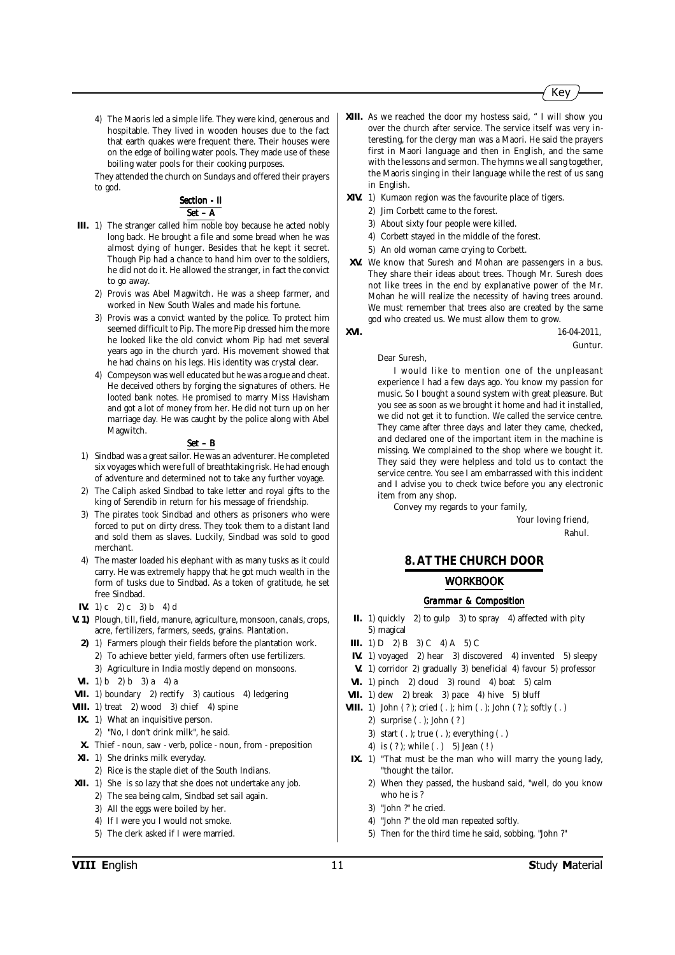

4) The Maoris led a simple life. They were kind, generous and hospitable. They lived in wooden houses due to the fact that earth quakes were frequent there. Their houses were on the edge of boiling water pools. They made use of these boiling water pools for their cooking purposes.

They attended the church on Sundays and offered their prayers to god.

#### **Section - II** *Set – A*

- **III.** 1) The stranger called him noble boy because he acted nobly long back. He brought a file and some bread when he was almost dying of hunger. Besides that he kept it secret. Though Pip had a chance to hand him over to the soldiers, he did not do it. He allowed the stranger, in fact the convict to go away.
	- 2) Provis was Abel Magwitch. He was a sheep farmer, and worked in New South Wales and made his fortune.
	- 3) Provis was a convict wanted by the police. To protect him seemed difficult to Pip. The more Pip dressed him the more he looked like the old convict whom Pip had met several years ago in the church yard. His movement showed that he had chains on his legs. His identity was crystal clear.
	- 4) Compeyson was well educated but he was a rogue and cheat. He deceived others by forging the signatures of others. He looted bank notes. He promised to marry Miss Havisham and got a lot of money from her. He did not turn up on her marriage day. He was caught by the police along with Abel Magwitch.

#### *Set – B*

- 1) Sindbad was a great sailor. He was an adventurer. He completed six voyages which were full of breathtaking risk. He had enough of adventure and determined not to take any further voyage.
- 2) The Caliph asked Sindbad to take letter and royal gifts to the king of Serendib in return for his message of friendship.
- 3) The pirates took Sindbad and others as prisoners who were forced to put on dirty dress. They took them to a distant land and sold them as slaves. Luckily, Sindbad was sold to good merchant.
- 4) The master loaded his elephant with as many tusks as it could carry. He was extremely happy that he got much wealth in the form of tusks due to Sindbad. As a token of gratitude, he set free Sindbad.
- **IV.** 1) c 2) c 3) b 4) d
- **V. 1)** Plough, till, field, manure, agriculture, monsoon, canals, crops, acre, fertilizers, farmers, seeds, grains. Plantation.
	- **2)** 1) Farmers plough their fields before the plantation work. 2) To achieve better yield, farmers often use fertilizers.
		- 3) Agriculture in India mostly depend on monsoons.
- **VI.** 1) b 2) b 3) a 4) a
- **VII.** 1) boundary 2) rectify 3) cautious 4) ledgering
- **VIII.** 1) treat 2) wood 3) chief 4) spine
- **IX.** 1) What an inquisitive person.
- 2) "No, I don't drink milk", he said.
- **X.** Thief noun, saw verb, police noun, from preposition
- **XI.** 1) She drinks milk everyday.
	- 2) Rice is the staple diet of the South Indians.
- **XII.** 1) She is so lazy that she does not undertake any job.
	- 2) The sea being calm, Sindbad set sail again.
	- 3) All the eggs were boiled by her.
	- 4) If I were you I would not smoke.
	- 5) The clerk asked if I were married.
- **XIII.** As we reached the door my hostess said, " I will show you over the church after service. The service itself was very interesting, for the clergy man was a Maori. He said the prayers first in Maori language and then in English, and the same with the lessons and sermon. The hymns we all sang together, the Maoris singing in their language while the rest of us sang in English.
- **XIV.** 1) Kumaon region was the favourite place of tigers.
	- 2) Jim Corbett came to the forest.
	- 3) About sixty four people were killed.
	- 4) Corbett stayed in the middle of the forest.
	- 5) An old woman came crying to Corbett.
- **XV.** We know that Suresh and Mohan are passengers in a bus. They share their ideas about trees. Though Mr. Suresh does not like trees in the end by explanative power of the Mr. Mohan he will realize the necessity of having trees around. We must remember that trees also are created by the same god who created us. We must allow them to grow.
- **XVI.** 16-04-2011,

Guntur.

#### Dear Suresh,

I would like to mention one of the unpleasant experience I had a few days ago. You know my passion for music. So I bought a sound system with great pleasure. But you see as soon as we brought it home and had it installed, we did not get it to function. We called the service centre. They came after three days and later they came, checked, and declared one of the important item in the machine is missing. We complained to the shop where we bought it. They said they were helpless and told us to contact the service centre. You see I am embarrassed with this incident and I advise you to check twice before you any electronic item from any shop.

Convey my regards to your family,

Your loving friend, Rahul.

### **8. AT THE CHURCH DOOR** *WORKBOOK*

- **II.** 1) quickly 2) to gulp 3) to spray 4) affected with pity 5) magical
- **III.** 1)  $D = 2$   $B = 3$   $C = 4$   $A = 5$   $C = 1$
- **IV.** 1) voyaged 2) hear 3) discovered 4) invented 5) sleepy
- **V.** 1) corridor 2) gradually 3) beneficial 4) favour 5) professor
- **VI.** 1) pinch 2) cloud 3) round 4) boat 5) calm
- **VII.** 1) dew 2) break 3) pace 4) hive 5) bluff
- **VIII.** 1) John ( ? ); cried ( . ); him ( . ); John ( ? ); softly ( . )
	- 2) surprise ( . ); John ( ? )
	- 3) start ( . ); true ( . ); everything ( . )
	- 4) is (?); while (.) 5) Jean (!)
- **IX.** 1) "That must be the man who will marry the young lady, "thought the tailor.
	- 2) When they passed, the husband said, "well, do you know who he is ?
	- 3) "John ?" he cried.
	- 4) "John ?" the old man repeated softly.
	- 5) Then for the third time he said, sobbing, "John ?"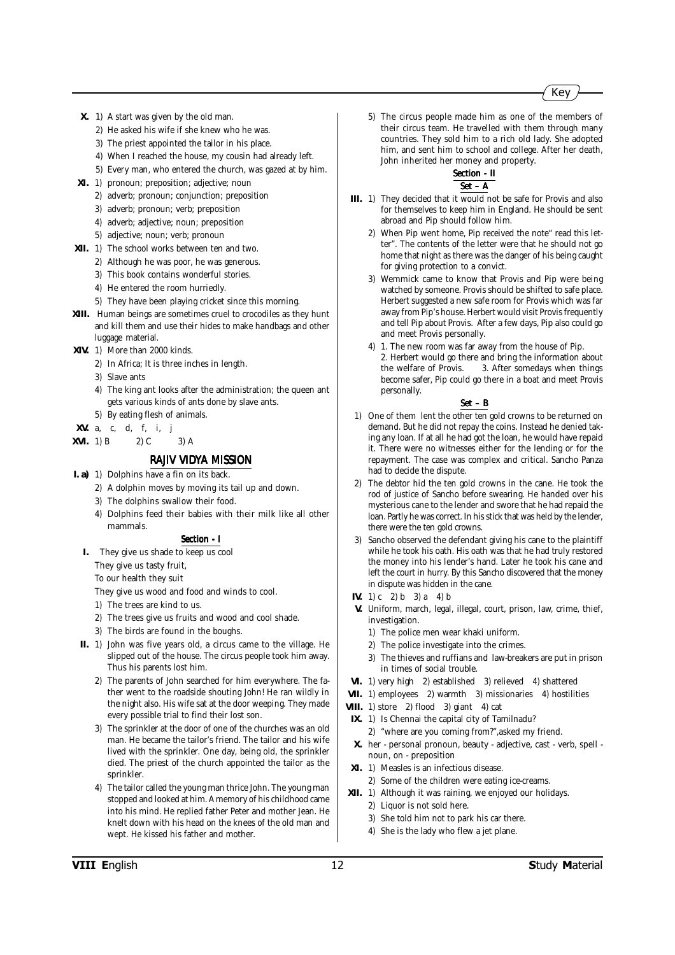- **X.** 1) A start was given by the old man.
	- 2) He asked his wife if she knew who he was.
	- 3) The priest appointed the tailor in his place.
	- 4) When I reached the house, my cousin had already left.
	- 5) Every man, who entered the church, was gazed at by him.
- **XI.** 1) pronoun; preposition; adjective; noun
	- 2) adverb; pronoun; conjunction; preposition
	- 3) adverb; pronoun; verb; preposition
	- 4) adverb; adjective; noun; preposition
	- 5) adjective; noun; verb; pronoun
- **XII.** 1) The school works between ten and two.
	- 2) Although he was poor, he was generous.
	- 3) This book contains wonderful stories.
	- 4) He entered the room hurriedly.
	- 5) They have been playing cricket since this morning.
- **XIII.** Human beings are sometimes cruel to crocodiles as they hunt and kill them and use their hides to make handbags and other luggage material.
- **XIV.** 1) More than 2000 kinds.
	- 2) In Africa; It is three inches in length.
	- 3) Slave ants
	- 4) The king ant looks after the administration; the queen ant gets various kinds of ants done by slave ants.
	- 5) By eating flesh of animals.
- **XV.** a, c, d, f, i, j
- **XVI.** 1) B 2) C 3) A

#### *RAJIV VIDYA MISSION*

- **I. a)** 1) Dolphins have a fin on its back.
	- 2) A dolphin moves by moving its tail up and down.
	- 3) The dolphins swallow their food.
	- 4) Dolphins feed their babies with their milk like all other mammals.

#### *Section - I Section*

**I.** They give us shade to keep us cool

They give us tasty fruit, To our health they suit

- They give us wood and food and winds to cool.
- 1) The trees are kind to us.
- 2) The trees give us fruits and wood and cool shade.
- 3) The birds are found in the boughs.
- **II.** 1) John was five years old, a circus came to the village. He slipped out of the house. The circus people took him away. Thus his parents lost him.
	- 2) The parents of John searched for him everywhere. The father went to the roadside shouting John! He ran wildly in the night also. His wife sat at the door weeping. They made every possible trial to find their lost son.
	- 3) The sprinkler at the door of one of the churches was an old man. He became the tailor's friend. The tailor and his wife lived with the sprinkler. One day, being old, the sprinkler died. The priest of the church appointed the tailor as the sprinkler.
	- 4) The tailor called the young man thrice John. The young man stopped and looked at him. A memory of his childhood came into his mind. He replied father Peter and mother Jean. He knelt down with his head on the knees of the old man and wept. He kissed his father and mother.

5) The circus people made him as one of the members of their circus team. He travelled with them through many countries. They sold him to a rich old lady. She adopted him, and sent him to school and college. After her death, John inherited her money and property.

#### *Section - II Section - II Set – A*

- **III.** 1) They decided that it would not be safe for Provis and also for themselves to keep him in England. He should be sent abroad and Pip should follow him.
	- 2) When Pip went home, Pip received the note" read this letter". The contents of the letter were that he should not go home that night as there was the danger of his being caught for giving protection to a convict.
	- 3) Wemmick came to know that Provis and Pip were being watched by someone. Provis should be shifted to safe place. Herbert suggested a new safe room for Provis which was far away from Pip's house. Herbert would visit Provis frequently and tell Pip about Provis. After a few days, Pip also could go and meet Provis personally.
	- 4) 1. The new room was far away from the house of Pip. 2. Herbert would go there and bring the information about the welfare of Provis. 3. After somedays when things become safer, Pip could go there in a boat and meet Provis personally.

- 1) One of them lent the other ten gold crowns to be returned on demand. But he did not repay the coins. Instead he denied taking any loan. If at all he had got the loan, he would have repaid it. There were no witnesses either for the lending or for the repayment. The case was complex and critical. Sancho Panza had to decide the dispute.
- 2) The debtor hid the ten gold crowns in the cane. He took the rod of justice of Sancho before swearing. He handed over his mysterious cane to the lender and swore that he had repaid the loan. Partly he was correct. In his stick that was held by the lender, there were the ten gold crowns.
- 3) Sancho observed the defendant giving his cane to the plaintiff while he took his oath. His oath was that he had truly restored the money into his lender's hand. Later he took his cane and left the court in hurry. By this Sancho discovered that the money in dispute was hidden in the cane.
- **IV.** 1) c 2) b 3) a 4) b
- **V.** Uniform, march, legal, illegal, court, prison, law, crime, thief, investigation.
	- 1) The police men wear khaki uniform.
	- 2) The police investigate into the crimes.
	- 3) The thieves and ruffians and law-breakers are put in prison in times of social trouble.
- **VI.** 1) very high 2) established 3) relieved 4) shattered
- **VII.** 1) employees 2) warmth 3) missionaries 4) hostilities
- **VIII.** 1) store 2) flood 3) giant 4) cat
- **IX.** 1) Is Chennai the capital city of Tamilnadu? 2) "where are you coming from?",asked my friend.
- **X.** her personal pronoun, beauty adjective, cast verb, spell noun, on - preposition
- **XI.** 1) Measles is an infectious disease.
- 2) Some of the children were eating ice-creams.
- **XII.** 1) Although it was raining, we enjoyed our holidays.
	- 2) Liquor is not sold here.
	- 3) She told him not to park his car there.
	- 4) She is the lady who flew a jet plane.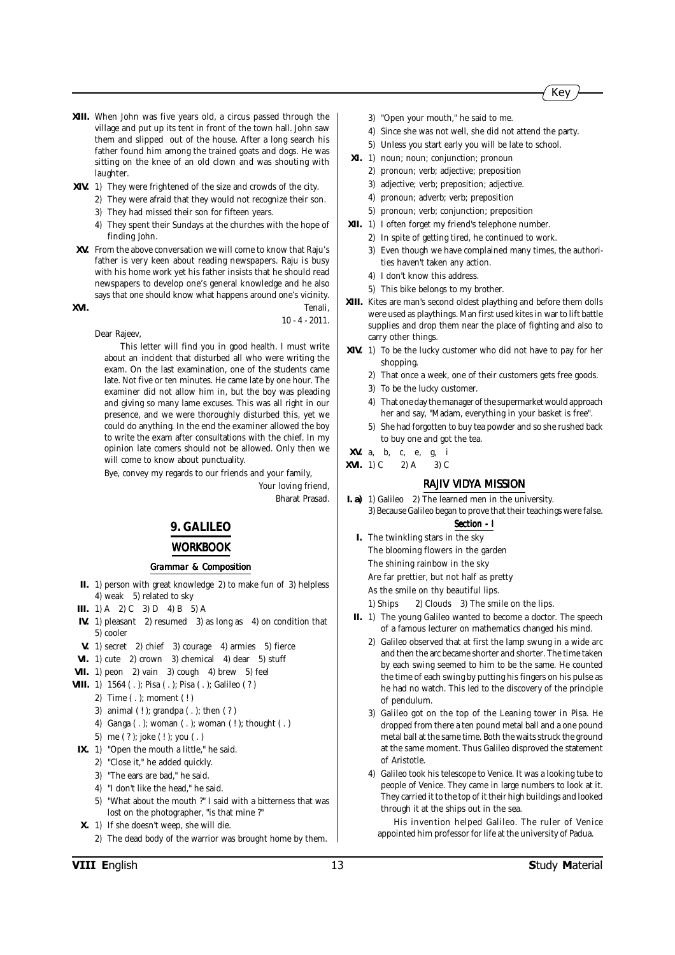

- **XIII.** When John was five years old, a circus passed through the village and put up its tent in front of the town hall. John saw them and slipped out of the house. After a long search his father found him among the trained goats and dogs. He was sitting on the knee of an old clown and was shouting with laughter.
- **XIV.** 1) They were frightened of the size and crowds of the city.
	- 2) They were afraid that they would not recognize their son.
	- 3) They had missed their son for fifteen years.
	- 4) They spent their Sundays at the churches with the hope of finding John.
- **XV.** From the above conversation we will come to know that Raju's father is very keen about reading newspapers. Raju is busy with his home work yet his father insists that he should read newspapers to develop one's general knowledge and he also says that one should know what happens around one's vicinity.

**XVI.** Tenali, 10 - 4 - 2011.

Dear Rajeev,

This letter will find you in good health. I must write about an incident that disturbed all who were writing the exam. On the last examination, one of the students came late. Not five or ten minutes. He came late by one hour. The examiner did not allow him in, but the boy was pleading and giving so many lame excuses. This was all right in our presence, and we were thoroughly disturbed this, yet we could do anything. In the end the examiner allowed the boy to write the exam after consultations with the chief. In my opinion late comers should not be allowed. Only then we will come to know about punctuality.

Bye, convey my regards to our friends and your family,

Your loving friend, Bharat Prasad.

#### **9. GALILEO**

#### *WORKBOOK*

#### *Grammar & Composition*

- **II.** 1) person with great knowledge 2) to make fun of 3) helpless 4) weak 5) related to sky
- **III.** 1) A 2) C 3) D 4) B 5) A
- **IV.** 1) pleasant 2) resumed 3) as long as 4) on condition that 5) cooler
- **V.** 1) secret 2) chief 3) courage 4) armies 5) fierce
- **VI.** 1) cute 2) crown 3) chemical 4) dear 5) stuff
- **VII.** 1) peon 2) vain 3) cough 4) brew 5) feel
- **VIII.** 1) 1564 ( . ); Pisa ( . ); Pisa ( . ); Galileo ( ? )
	- 2) Time ( . ); moment ( ! )
	- 3) animal ( ! ); grandpa ( . ); then ( ? )
	- 4) Ganga ( . ); woman ( . ); woman ( ! ); thought ( . )
	- 5) me ( ? ); joke ( ! ); you ( . )
- **IX.** 1) "Open the mouth a little," he said.
	- 2) "Close it," he added quickly.
	- 3) "The ears are bad," he said.
	- 4) "I don't like the head," he said.
	- 5) "What about the mouth ?" I said with a bitterness that was lost on the photographer, "is that mine ?"
- **X.** 1) If she doesn't weep, she will die.
	- 2) The dead body of the warrior was brought home by them.
- 3) "Open your mouth," he said to me.
- 4) Since she was not well, she did not attend the party.
- 5) Unless you start early you will be late to school.
- **XI.** 1) noun; noun; conjunction; pronoun
	- 2) pronoun; verb; adjective; preposition
	- 3) adjective; verb; preposition; adjective.
	- 4) pronoun; adverb; verb; preposition
	- 5) pronoun; verb; conjunction; preposition
- **XII.** 1) I often forget my friend's telephone number.
	- 2) In spite of getting tired, he continued to work.
	- 3) Even though we have complained many times, the authorities haven't taken any action.
	- 4) I don't know this address.
	- 5) This bike belongs to my brother.
- **XIII.** Kites are man's second oldest plaything and before them dolls were used as playthings. Man first used kites in war to lift battle supplies and drop them near the place of fighting and also to carry other things.
- **XIV.** 1) To be the lucky customer who did not have to pay for her shopping.
	- 2) That once a week, one of their customers gets free goods.
	- 3) To be the lucky customer.
	- 4) That one day the manager of the supermarket would approach her and say, "Madam, everything in your basket is free".
	- 5) She had forgotten to buy tea powder and so she rushed back to buy one and got the tea.
- **XV.** a, b, c, e, g, i
- **XVI.** 1) C 2) A 3) C

#### *RAJIV VIDYA MISSION*

**I. a)** 1) Galileo 2) The learned men in the university. 3) Because Galileo began to prove that their teachings were false.

#### *Section - I*

- **I.** The twinkling stars in the sky The blooming flowers in the garden The shining rainbow in the sky Are far prettier, but not half as pretty As the smile on thy beautiful lips.
	- 1) Ships 2) Clouds 3) The smile on the lips.
- **II.** 1) The young Galileo wanted to become a doctor. The speech of a famous lecturer on mathematics changed his mind.
	- 2) Galileo observed that at first the lamp swung in a wide arc and then the arc became shorter and shorter. The time taken by each swing seemed to him to be the same. He counted the time of each swing by putting his fingers on his pulse as he had no watch. This led to the discovery of the principle of pendulum.
	- 3) Galileo got on the top of the Leaning tower in Pisa. He dropped from there a ten pound metal ball and a one pound metal ball at the same time. Both the waits struck the ground at the same moment. Thus Galileo disproved the statement of Aristotle.
	- 4) Galileo took his telescope to Venice. It was a looking tube to people of Venice. They came in large numbers to look at it. They carried it to the top of it their high buildings and looked through it at the ships out in the sea.

His invention helped Galileo. The ruler of Venice appointed him professor for life at the university of Padua.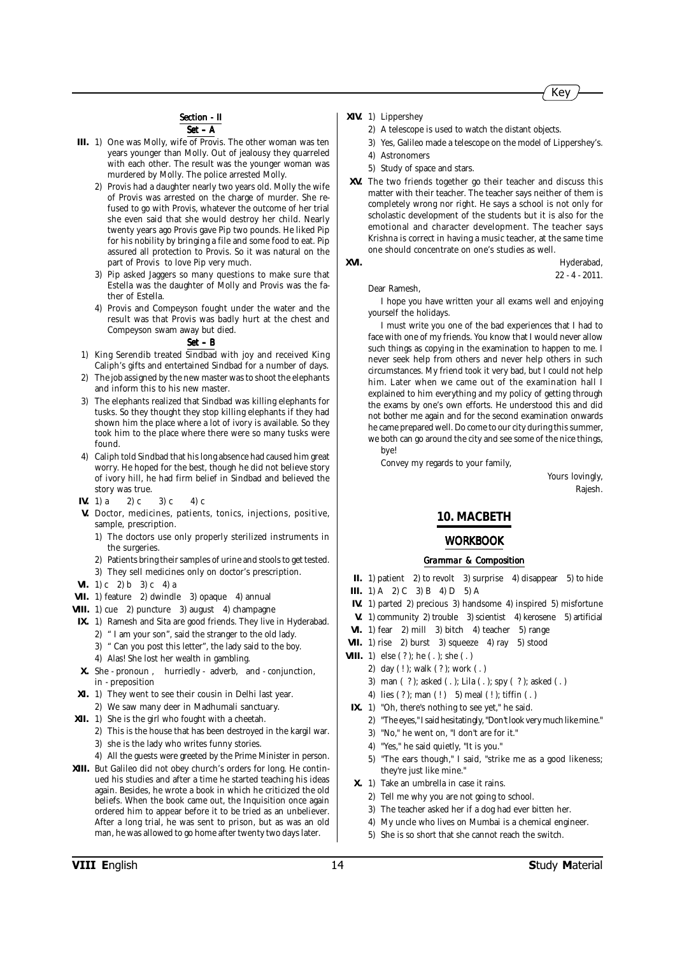### **Section - II**

*Set – A*

- **III.** 1) One was Molly, wife of Provis. The other woman was ten years younger than Molly. Out of jealousy they quarreled with each other. The result was the younger woman was murdered by Molly. The police arrested Molly.
	- 2) Provis had a daughter nearly two years old. Molly the wife of Provis was arrested on the charge of murder. She refused to go with Provis, whatever the outcome of her trial she even said that she would destroy her child. Nearly twenty years ago Provis gave Pip two pounds. He liked Pip for his nobility by bringing a file and some food to eat. Pip assured all protection to Provis. So it was natural on the part of Provis to love Pip very much.
	- 3) Pip asked Jaggers so many questions to make sure that Estella was the daughter of Molly and Provis was the father of Estella.
	- 4) Provis and Compeyson fought under the water and the result was that Provis was badly hurt at the chest and Compeyson swam away but died.

#### *Set – B*

- 1) King Serendib treated Sindbad with joy and received King Caliph's gifts and entertained Sindbad for a number of days.
- 2) The job assigned by the new master was to shoot the elephants and inform this to his new master.
- The elephants realized that Sindbad was killing elephants for tusks. So they thought they stop killing elephants if they had shown him the place where a lot of ivory is available. So they took him to the place where there were so many tusks were found.
- 4) Caliph told Sindbad that his long absence had caused him great worry. He hoped for the best, though he did not believe story of ivory hill, he had firm belief in Sindbad and believed the story was true.
- **IV.** 1) a 2) c 3) c 4) c
- **V.** Doctor, medicines, patients, tonics, injections, positive, sample, prescription.
	- 1) The doctors use only properly sterilized instruments in the surgeries.
	- 2) Patients bring their samples of urine and stools to get tested.
	- 3) They sell medicines only on doctor's prescription.
- **VI.** 1) c 2) b 3) c 4) a
- **VII.** 1) feature 2) dwindle 3) opaque 4) annual
- **VIII.** 1) cue 2) puncture 3) august 4) champagne
- **IX.** 1) Ramesh and Sita are good friends. They live in Hyderabad. 2) " I am your son", said the stranger to the old lady.
	- 3) " Can you post this letter", the lady said to the boy. 4) Alas! She lost her wealth in gambling.
	-
- **X.** She pronoun , hurriedly adverb, and conjunction, in - preposition
- **XI.** 1) They went to see their cousin in Delhi last year.
- 2) We saw many deer in Madhumali sanctuary.
- **XII.** 1) She is the girl who fought with a cheetah.
	- 2) This is the house that has been destroyed in the kargil war. 3) she is the lady who writes funny stories.
	- 4) All the guests were greeted by the Prime Minister in person.
- **XIII.** But Galileo did not obey church's orders for long. He continued his studies and after a time he started teaching his ideas again. Besides, he wrote a book in which he criticized the old beliefs. When the book came out, the Inquisition once again ordered him to appear before it to be tried as an unbeliever. After a long trial, he was sent to prison, but as was an old man, he was allowed to go home after twenty two days later.
- **XIV.** 1) Lippershey
	- 2) A telescope is used to watch the distant objects.
	- 3) Yes, Galileo made a telescope on the model of Lippershey's.
	- 4) Astronomers
	- 5) Study of space and stars.
- **XV.** The two friends together go their teacher and discuss this matter with their teacher. The teacher says neither of them is completely wrong nor right. He says a school is not only for scholastic development of the students but it is also for the emotional and character development. The teacher says Krishna is correct in having a music teacher, at the same time one should concentrate on one's studies as well.

**XVI.** Hyderabad, 22 - 4 - 2011.

Dear Ramesh,

I hope you have written your all exams well and enjoying yourself the holidays.

I must write you one of the bad experiences that I had to face with one of my friends. You know that I would never allow such things as copying in the examination to happen to me. I never seek help from others and never help others in such circumstances. My friend took it very bad, but I could not help him. Later when we came out of the examination hall I explained to him everything and my policy of getting through the exams by one's own efforts. He understood this and did not bother me again and for the second examination onwards he came prepared well. Do come to our city during this summer, we both can go around the city and see some of the nice things, bye!

Convey my regards to your family,

Yours lovingly, Rajesh.

#### **10. MACBETH**

#### *WORKBOOK*

- **II.** 1) patient 2) to revolt 3) surprise 4) disappear 5) to hide **III.** 1) A 2) C 3) B 4) D 5) A
- **IV.** 1) parted 2) precious 3) handsome 4) inspired 5) misfortune
- **V.** 1) community 2) trouble 3) scientist 4) kerosene 5) artificial
- **VI.** 1) fear 2) mill 3) bitch 4) teacher 5) range
- **VII.** 1) rise 2) burst 3) squeeze 4) ray 5) stood
- **VIII.** 1) else (?); he (.); she (.)
	- 2) day ( ! ); walk ( ? ); work ( . )
		- 3) man ( ? ); asked ( . ); Lila ( . ); spy ( ? ); asked ( . )
		- 4) lies (? ); man (!) 5) meal (!); tiffin (.)
- **IX.** 1) "Oh, there's nothing to see yet," he said.
	- 2) "The eyes," I said hesitatingly, "Don't look very much like mine."
	- 3) "No," he went on, "I don't are for it."
	- 4) "Yes," he said quietly, "It is you."
	- 5) "The ears though," I said, "strike me as a good likeness; they're just like mine."
- **X.** 1) Take an umbrella in case it rains.
	- 2) Tell me why you are not going to school.
	- 3) The teacher asked her if a dog had ever bitten her.
	- 4) My uncle who lives on Mumbai is a chemical engineer.
	- 5) She is so short that she cannot reach the switch.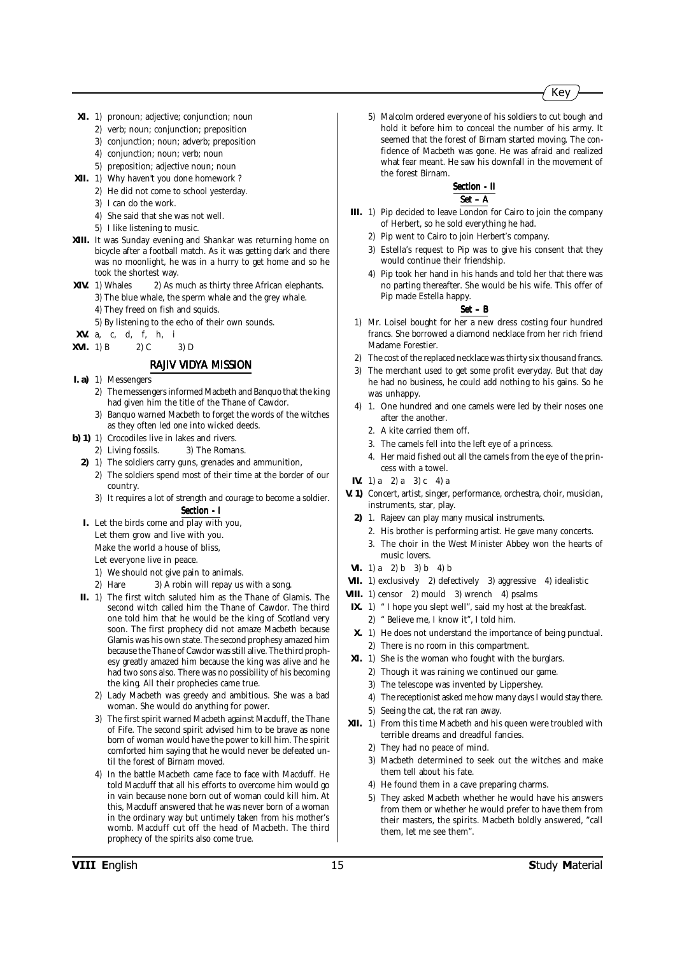- **XI.** 1) pronoun; adjective; conjunction; noun
	- 2) verb; noun; conjunction; preposition
	- 3) conjunction; noun; adverb; preposition
	- 4) conjunction; noun; verb; noun
	- 5) preposition; adjective noun; noun
- **XII.** 1) Why haven't you done homework ? 2) He did not come to school yesterday.
	- 3) I can do the work.
	- 4) She said that she was not well.
	- 5) I like listening to music.
- **XIII.** It was Sunday evening and Shankar was returning home on bicycle after a football match. As it was getting dark and there was no moonlight, he was in a hurry to get home and so he
- took the shortest way.<br>XIV. 1) Whales 2) As is 2) As much as thirty three African elephants.
	- 3) The blue whale, the sperm whale and the grey whale.
	- 4) They freed on fish and squids.
	- 5) By listening to the echo of their own sounds.
- **XV.** a, c, d, f, h, i
- **XVI.** 1) B 2) C 3) D

#### *RAJIV VIDYA MISSION*

- **I. a)** 1) Messengers
	- 2) The messengers informed Macbeth and Banquo that the king had given him the title of the Thane of Cawdor.
	- 3) Banquo warned Macbeth to forget the words of the witches as they often led one into wicked deeds.
- **b)** 1) 1) Crocodiles live in lakes and rivers.
	- 2) Living fossils. 3) The Romans.
	- **2)** 1) The soldiers carry guns, grenades and ammunition, 2) The soldiers spend most of their time at the border of our country.
		- 3) It requires a lot of strength and courage to become a soldier. *Section - I Section*
	- **I.** Let the birds come and play with you, Let them grow and live with you.
		- Make the world a house of bliss,
		- Let everyone live in peace.
		- 1) We should not give pain to animals.
		- 2) Hare 3) A robin will repay us with a song.
- **II.** 1) The first witch saluted him as the Thane of Glamis. The second witch called him the Thane of Cawdor. The third one told him that he would be the king of Scotland very soon. The first prophecy did not amaze Macbeth because Glamis was his own state. The second prophesy amazed him because the Thane of Cawdor was still alive. The third prophesy greatly amazed him because the king was alive and he had two sons also. There was no possibility of his becoming the king. All their prophecies came true.
	- 2) Lady Macbeth was greedy and ambitious. She was a bad woman. She would do anything for power.
	- The first spirit warned Macbeth against Macduff, the Thane of Fife. The second spirit advised him to be brave as none born of woman would have the power to kill him. The spirit comforted him saying that he would never be defeated until the forest of Birnam moved.
	- 4) In the battle Macbeth came face to face with Macduff. He told Macduff that all his efforts to overcome him would go in vain because none born out of woman could kill him. At this, Macduff answered that he was never born of a woman in the ordinary way but untimely taken from his mother's womb. Macduff cut off the head of Macbeth. The third prophecy of the spirits also come true.

5) Malcolm ordered everyone of his soldiers to cut bough and hold it before him to conceal the number of his army. It seemed that the forest of Birnam started moving. The confidence of Macbeth was gone. He was afraid and realized what fear meant. He saw his downfall in the movement of the forest Birnam.

#### *Section - II Section - II Set – A*

- **III.** 1) Pip decided to leave London for Cairo to join the company of Herbert, so he sold everything he had.
	- 2) Pip went to Cairo to join Herbert's company.
	- 3) Estella's request to Pip was to give his consent that they would continue their friendship.
	- 4) Pip took her hand in his hands and told her that there was no parting thereafter. She would be his wife. This offer of Pip made Estella happy.

- 1) Mr. Loisel bought for her a new dress costing four hundred francs. She borrowed a diamond necklace from her rich friend Madame Forestier.
- 2) The cost of the replaced necklace was thirty six thousand francs.
- 3) The merchant used to get some profit everyday. But that day he had no business, he could add nothing to his gains. So he was unhappy.
- 4) 1. One hundred and one camels were led by their noses one after the another.
	- 2. A kite carried them off.
	- 3. The camels fell into the left eye of a princess.
	- 4. Her maid fished out all the camels from the eye of the princess with a towel.
- **IV.** 1) a 2) a 3) c 4) a
- **V. 1)** Concert, artist, singer, performance, orchestra, choir, musician, instruments, star, play.
	- **2)** 1. Rajeev can play many musical instruments.
		- 2. His brother is performing artist. He gave many concerts.
		- 3. The choir in the West Minister Abbey won the hearts of music lovers.
- **VI.** 1) a 2) b 3) b 4) b
- **VII.** 1) exclusively 2) defectively 3) aggressive 4) idealistic
- **VIII.** 1) censor 2) mould 3) wrench 4) psalms
- **IX.** 1) " I hope you slept well", said my host at the breakfast. 2) " Believe me, I know it", I told him.
- **X.** 1) He does not understand the importance of being punctual.
- 2) There is no room in this compartment.
- **XI.** 1) She is the woman who fought with the burglars.
	- 2) Though it was raining we continued our game.
	- 3) The telescope was invented by Lippershey.
	- 4) The receptionist asked me how many days I would stay there.
	- 5) Seeing the cat, the rat ran away.
- **XII.** 1) From this time Macbeth and his queen were troubled with terrible dreams and dreadful fancies.
	- 2) They had no peace of mind.
	- 3) Macbeth determined to seek out the witches and make them tell about his fate.
	- 4) He found them in a cave preparing charms.
	- 5) They asked Macbeth whether he would have his answers from them or whether he would prefer to have them from their masters, the spirits. Macbeth boldly answered, "call them, let me see them".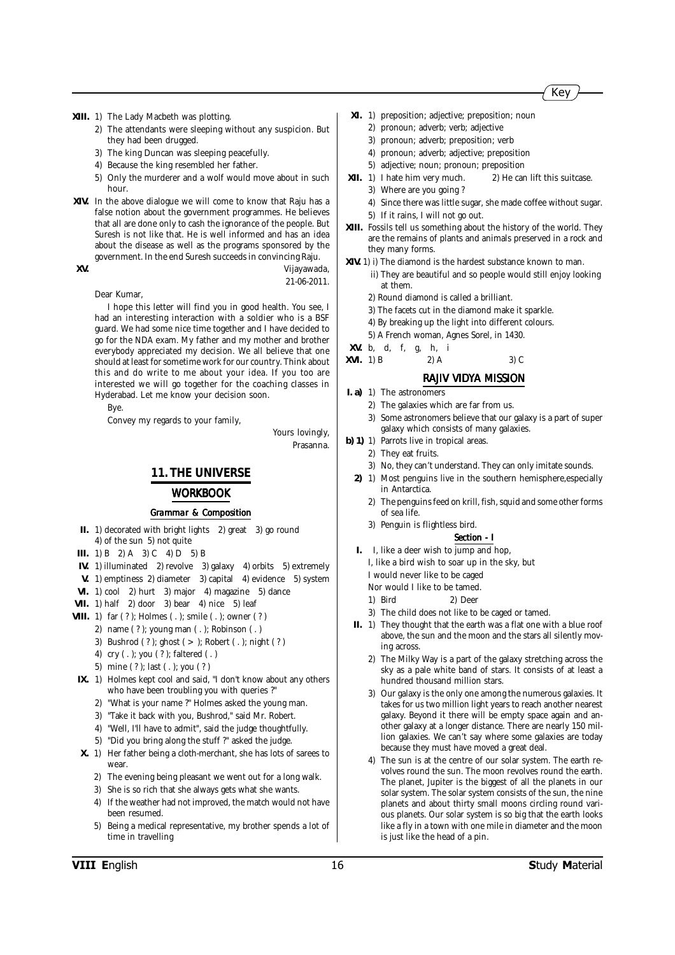#### **XIII.** 1) The Lady Macbeth was plotting.

- 2) The attendants were sleeping without any suspicion. But they had been drugged.
- 3) The king Duncan was sleeping peacefully.
- 4) Because the king resembled her father.
- 5) Only the murderer and a wolf would move about in such hour.
- **XIV.** In the above dialogue we will come to know that Raju has a false notion about the government programmes. He believes that all are done only to cash the ignorance of the people. But Suresh is not like that. He is well informed and has an idea about the disease as well as the programs sponsored by the government. In the end Suresh succeeds in convincing Raju.

**XV.** Vijayawada, 21-06-2011.

#### Dear Kumar,

I hope this letter will find you in good health. You see, I had an interesting interaction with a soldier who is a BSF guard. We had some nice time together and I have decided to go for the NDA exam. My father and my mother and brother everybody appreciated my decision. We all believe that one should at least for sometime work for our country. Think about this and do write to me about your idea. If you too are interested we will go together for the coaching classes in Hyderabad. Let me know your decision soon.

Bye.

Convey my regards to your family,

Yours lovingly, Prasanna.

#### **11. THE UNIVERSE**

#### *WORKBOOK*

#### *Grammar & Composition*

- **II.** 1) decorated with bright lights 2) great 3) go round 4) of the sun 5) not quite
- **III.** 1) B 2) A 3) C 4) D 5) B
- **IV.** 1) illuminated 2) revolve 3) galaxy 4) orbits 5) extremely
- **V.** 1) emptiness 2) diameter 3) capital 4) evidence 5) system
- **VI.** 1) cool 2) hurt 3) major 4) magazine 5) dance
- **VII.** 1) half 2) door 3) bear 4) nice 5) leaf
- **VIII.** 1) far (?); Holmes (.); smile (.); owner (?)
	- 2) name ( ? ); young man ( . ); Robinson ( . )
		- 3) Bushrod ( ? ); ghost ( > ); Robert ( . ); night ( ? )
		- 4) cry ( . ); you ( ? ); faltered ( . )
		- 5) mine ( ? ); last ( . ); you ( ? )
- **IX.** 1) Holmes kept cool and said, "I don't know about any others who have been troubling you with queries ?"
	- 2) "What is your name ?" Holmes asked the young man.
	- 3) "Take it back with you, Bushrod," said Mr. Robert.
	- 4) "Well, I'll have to admit", said the judge thoughtfully.
	- 5) "Did you bring along the stuff ?" asked the judge.
- **X.** 1) Her father being a cloth-merchant, she has lots of sarees to wear.
	- 2) The evening being pleasant we went out for a long walk.
	- 3) She is so rich that she always gets what she wants.
	- 4) If the weather had not improved, the match would not have been resumed.
	- 5) Being a medical representative, my brother spends a lot of time in travelling

#### **XI.** 1) preposition; adjective; preposition; noun

- 2) pronoun; adverb; verb; adjective
- 3) pronoun; adverb; preposition; verb
- 4) pronoun; adverb; adjective; preposition
- 5) adjective; noun; pronoun; preposition
- **XII.** 1) I hate him very much. 2) He can lift this suitcase. 3) Where are you going ?
	- 4) Since there was little sugar, she made coffee without sugar.
	- 5) If it rains, I will not go out.
- **XIII.** Fossils tell us something about the history of the world. They are the remains of plants and animals preserved in a rock and they many forms.
- **XIV.** 1) i) The diamond is the hardest substance known to man. ii) They are beautiful and so people would still enjoy looking at them.
	- 2) Round diamond is called a brilliant.
	- 3) The facets cut in the diamond make it sparkle.
	- 4) By breaking up the light into different colours.
	- 5) A French woman, Agnes Sorel, in 1430.
- **XV.** b, d, f, g, h, i
- **XVI.** 1) B  $2)$  A  $3)$  C

#### *RAJIV VIDYA MISSION*

- **I. a)** 1) The astronomers
	- 2) The galaxies which are far from us.
		- 3) Some astronomers believe that our galaxy is a part of super galaxy which consists of many galaxies.
- **b)** 1) 1) Parrots live in tropical areas.
	- 2) They eat fruits.
		- 3) No, they can't understand. They can only imitate sounds.
	- 2) 1) Most penguins live in the southern hemisphere, especially in Antarctica.
		- 2) The penguins feed on krill, fish, squid and some other forms of sea life.
		- 3) Penguin is flightless bird.
			- *Section I Section*
	- **I.** I, like a deer wish to jump and hop,
		- I, like a bird wish to soar up in the sky, but
		- I would never like to be caged
		- Nor would I like to be tamed. 1) Bird 2) Deer
		-
	- 3) The child does not like to be caged or tamed.
	- **II.** 1) They thought that the earth was a flat one with a blue roof above, the sun and the moon and the stars all silently moving across.
		- 2) The Milky Way is a part of the galaxy stretching across the sky as a pale white band of stars. It consists of at least a hundred thousand million stars.
		- 3) Our galaxy is the only one among the numerous galaxies. It takes for us two million light years to reach another nearest galaxy. Beyond it there will be empty space again and another galaxy at a longer distance. There are nearly 150 million galaxies. We can't say where some galaxies are today because they must have moved a great deal.
		- 4) The sun is at the centre of our solar system. The earth revolves round the sun. The moon revolves round the earth. The planet, Jupiter is the biggest of all the planets in our solar system. The solar system consists of the sun, the nine planets and about thirty small moons circling round various planets. Our solar system is so big that the earth looks like a fly in a town with one mile in diameter and the moon is just like the head of a pin.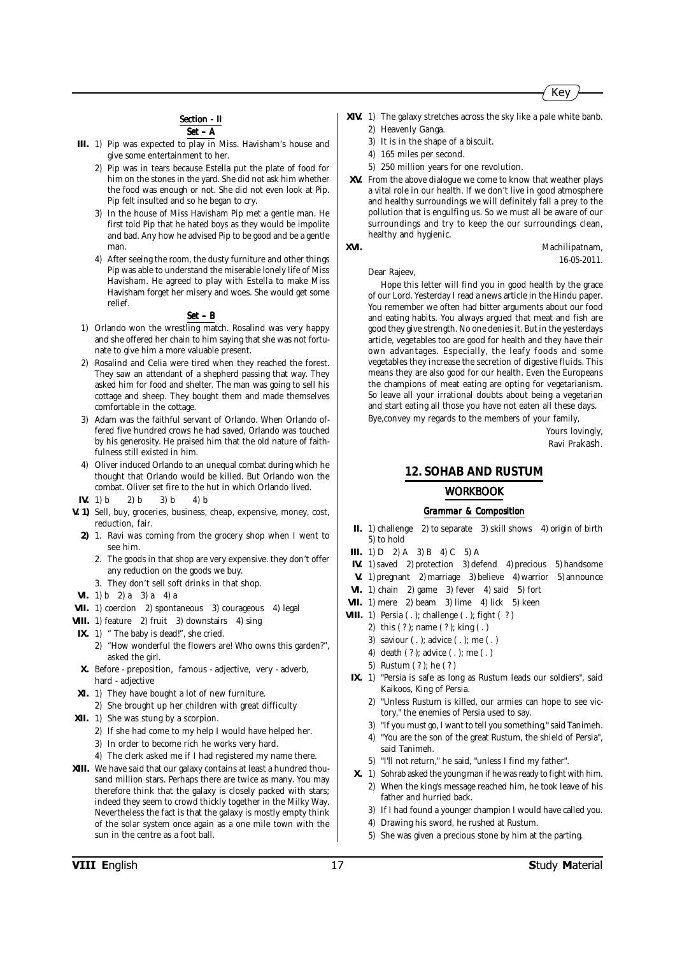

### **Section - II**



- **III.** 1) Pip was expected to play in Miss. Havisham's house and give some entertainment to her.
	- 2) Pip was in tears because Estella put the plate of food for him on the stones in the yard. She did not ask him whether the food was enough or not. She did not even look at Pip. Pip felt insulted and so he began to cry.
	- 3) In the house of Miss Havisham Pip met a gentle man. He first told Pip that he hated boys as they would be impolite and bad. Any how he advised Pip to be good and be a gentle man.
	- 4) After seeing the room, the dusty furniture and other things Pip was able to understand the miserable lonely life of Miss Havisham. He agreed to play with Estella to make Miss Havisham forget her misery and woes. She would get some relief.

#### *Set – B*

- 1) Orlando won the wrestling match. Rosalind was very happy and she offered her chain to him saying that she was not fortunate to give him a more valuable present.
- Rosalind and Celia were tired when they reached the forest. They saw an attendant of a shepherd passing that way. They asked him for food and shelter. The man was going to sell his cottage and sheep. They bought them and made themselves comfortable in the cottage.
- 3) Adam was the faithful servant of Orlando. When Orlando offered five hundred crows he had saved, Orlando was touched by his generosity. He praised him that the old nature of faithfulness still existed in him.
- 4) Oliver induced Orlando to an unequal combat during which he thought that Orlando would be killed. But Orlando won the combat. Oliver set fire to the hut in which Orlando lived.
- **IV.** 1) b 2) b 3) b 4) b
- **V. 1)** Sell, buy, groceries, business, cheap, expensive, money, cost, reduction, fair.
	- **2)** 1. Ravi was coming from the grocery shop when I went to see him.
		- 2. The goods in that shop are very expensive. they don't offer any reduction on the goods we buy.
		- 3. They don't sell soft drinks in that shop.
- **VI.** 1) b 2) a 3) a 4) a
- **VII.** 1) coercion 2) spontaneous 3) courageous 4) legal
- **VIII.** 1) feature 2) fruit 3) downstairs 4) sing
- **IX.** 1) " The baby is dead!", she cried.
	- 2) "How wonderful the flowers are! Who owns this garden?", asked the girl.
- **X.** Before preposition, famous adjective, very adverb, hard - adjective
- **XI.** 1) They have bought a lot of new furniture.
	- 2) She brought up her children with great difficulty
- **XII.** 1) She was stung by a scorpion.
	- 2) If she had come to my help I would have helped her.
	- 3) In order to become rich he works very hard.
	- 4) The clerk asked me if I had registered my name there.
- **XIII.** We have said that our galaxy contains at least a hundred thousand million stars. Perhaps there are twice as many. You may therefore think that the galaxy is closely packed with stars; indeed they seem to crowd thickly together in the Milky Way. Nevertheless the fact is that the galaxy is mostly empty think of the solar system once again as a one mile town with the sun in the centre as a foot ball.
- **XIV.** 1) The galaxy stretches across the sky like a pale white banb. 2) Heavenly Ganga.
	- 3) It is in the shape of a biscuit.
	- 4) 165 miles per second.
	- 5) 250 million years for one revolution.
- **XV.** From the above dialogue we come to know that weather plays a vital role in our health. If we don't live in good atmosphere and healthy surroundings we will definitely fall a prey to the pollution that is engulfing us. So we must all be aware of our surroundings and try to keep the our surroundings clean, healthy and hygienic. **XVI.** Machilipatnam,

Dear Rajeev,

Hope this letter will find you in good health by the grace of our Lord. Yesterday I read a news article in the Hindu paper. You remember we often had bitter arguments about our food and eating habits. You always argued that meat and fish are good they give strength. No one denies it. But in the yesterdays article, vegetables too are good for health and they have their own advantages. Especially, the leafy foods and some vegetables they increase the secretion of digestive fluids. This means they are also good for our health. Even the Europeans the champions of meat eating are opting for vegetarianism. So leave all your irrational doubts about being a vegetarian and start eating all those you have not eaten all these days.

Bye,convey my regards to the members of your family,

Yours lovingly, Ravi Prakash.

16-05-2011.

#### **12. SOHAB AND RUSTUM**

#### *WORKBOOK*

- **II.** 1) challenge 2) to separate 3) skill shows 4) origin of birth 5) to hold
- **III.** 1) D 2) A 3) B 4) C 5) A
- **IV.** 1) saved 2) protection 3) defend 4) precious 5) handsome
- **V.** 1) pregnant 2) marriage 3) believe 4) warrior 5) announce
- **VI.** 1) chain 2) game 3) fever 4) said 5) fort
- VII. 1) mere 2) beam 3) lime 4) lick 5) keen
- **VIII.** 1) Persia ( . ); challenge ( . ); fight ( ? )
	- 2) this ( ? ); name ( ? ); king ( . )
	- 3) saviour ( . ); advice ( . ); me ( . )
	- 4) death ( ? ); advice ( . ); me ( . )
	- 5) Rustum ( ? ); he ( ? )
- **IX.** 1) "Persia is safe as long as Rustum leads our soldiers", said Kaikoos, King of Persia.
	- 2) "Unless Rustum is killed, our armies can hope to see victory," the enemies of Persia used to say.
	- 3) "If you must go, I want to tell you something," said Tanimeh.
	- 4) "You are the son of the great Rustum, the shield of Persia", said Tanimeh.
	- 5) "I'll not return," he said, "unless I find my father".
- **X.** 1) Sohrab asked the young man if he was ready to fight with him. 2) When the king's message reached him, he took leave of his father and hurried back.
	- 3) If I had found a younger champion I would have called you.
	- 4) Drawing his sword, he rushed at Rustum.
	- 5) She was given a precious stone by him at the parting.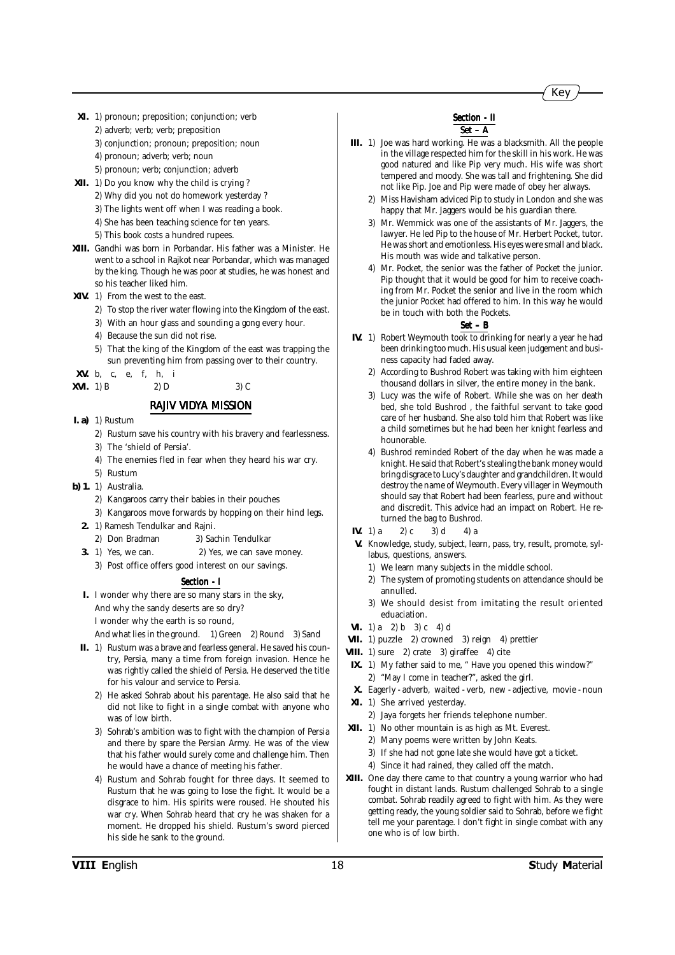- **XI.** 1) pronoun; preposition; conjunction; verb
	- 2) adverb; verb; verb; preposition
	- 3) conjunction; pronoun; preposition; noun
	- 4) pronoun; adverb; verb; noun
	- 5) pronoun; verb; conjunction; adverb
- **XII.** 1) Do you know why the child is crying ?
	- 2) Why did you not do homework yesterday ?
	- 3) The lights went off when I was reading a book.
	- 4) She has been teaching science for ten years.
	- 5) This book costs a hundred rupees.
- **XIII.** Gandhi was born in Porbandar. His father was a Minister. He went to a school in Rajkot near Porbandar, which was managed by the king. Though he was poor at studies, he was honest and so his teacher liked him.
- **XIV.** 1) From the west to the east.
	- 2) To stop the river water flowing into the Kingdom of the east.
	- 3) With an hour glass and sounding a gong every hour.
	- 4) Because the sun did not rise.
	- 5) That the king of the Kingdom of the east was trapping the sun preventing him from passing over to their country.
- **XV.** b, c, e, f, h, i

| $XVI.$ 1) B | 2) D | $3)$ C |
|-------------|------|--------|
|             |      |        |

### *RAJIV VIDYA MISSION*

- **I. a)** 1) Rustum
	- 2) Rustum save his country with his bravery and fearlessness.
	- 3) The 'shield of Persia'.
	- 4) The enemies fled in fear when they heard his war cry.
	- 5) Rustum
- **b) 1.** 1) Australia.
	- 2) Kangaroos carry their babies in their pouches
	- 3) Kangaroos move forwards by hopping on their hind legs.
	- **2.** 1) Ramesh Tendulkar and Rajni.
		- 2) Don Bradman 3) Sachin Tendulkar
	- **3.** 1) Yes, we can. 2) Yes, we can save money.
		- 3) Post office offers good interest on our savings.

#### *Section - I Section*

**I.** I wonder why there are so many stars in the sky, And why the sandy deserts are so dry? I wonder why the earth is so round,

And what lies in the ground. 1) Green 2) Round 3) Sand

- **II.** 1) Rustum was a brave and fearless general. He saved his country, Persia, many a time from foreign invasion. Hence he was rightly called the shield of Persia. He deserved the title for his valour and service to Persia.
	- 2) He asked Sohrab about his parentage. He also said that he did not like to fight in a single combat with anyone who was of low birth.
	- 3) Sohrab's ambition was to fight with the champion of Persia and there by spare the Persian Army. He was of the view that his father would surely come and challenge him. Then he would have a chance of meeting his father.
	- 4) Rustum and Sohrab fought for three days. It seemed to Rustum that he was going to lose the fight. It would be a disgrace to him. His spirits were roused. He shouted his war cry. When Sohrab heard that cry he was shaken for a moment. He dropped his shield. Rustum's sword pierced his side he sank to the ground.

#### *Section - II Section - II*

#### *Set – A*

- **III.** 1) Joe was hard working. He was a blacksmith. All the people in the village respected him for the skill in his work. He was good natured and like Pip very much. His wife was short tempered and moody. She was tall and frightening. She did not like Pip. Joe and Pip were made of obey her always.
	- 2) Miss Havisham adviced Pip to study in London and she was happy that Mr. Jaggers would be his guardian there.
	- 3) Mr. Wemmick was one of the assistants of Mr. Jaggers, the lawyer. He led Pip to the house of Mr. Herbert Pocket, tutor. He was short and emotionless. His eyes were small and black. His mouth was wide and talkative person.
	- 4) Mr. Pocket, the senior was the father of Pocket the junior. Pip thought that it would be good for him to receive coaching from Mr. Pocket the senior and live in the room which the junior Pocket had offered to him. In this way he would be in touch with both the Pockets.

- **IV.** 1) Robert Weymouth took to drinking for nearly a year he had been drinking too much. His usual keen judgement and business capacity had faded away.
	- 2) According to Bushrod Robert was taking with him eighteen thousand dollars in silver, the entire money in the bank.
	- 3) Lucy was the wife of Robert. While she was on her death bed, she told Bushrod , the faithful servant to take good care of her husband. She also told him that Robert was like a child sometimes but he had been her knight fearless and hounorable.
	- 4) Bushrod reminded Robert of the day when he was made a knight. He said that Robert's stealing the bank money would bring disgrace to Lucy's daughter and grandchildren. It would destroy the name of Weymouth. Every villager in Weymouth should say that Robert had been fearless, pure and without and discredit. This advice had an impact on Robert. He returned the bag to Bushrod.
- **IV.** 1) a 2) c 3) d 4) a
- **V.** Knowledge, study, subject, learn, pass, try, result, promote, syllabus, questions, answers.
	- 1) We learn many subjects in the middle school.
	- 2) The system of promoting students on attendance should be annulled.
	- 3) We should desist from imitating the result oriented eduaciation.
- **VI.** 1) a 2) b 3) c 4) d
- **VII.** 1) puzzle 2) crowned 3) reign 4) prettier
- **VIII.** 1) sure 2) crate 3) giraffee 4) cite
- **IX.** 1) My father said to me, " Have you opened this window?" 2) "May I come in teacher?", asked the girl.
- **X.** Eagerly adverb, waited verb, new adjective, movie noun **XI.** 1) She arrived yesterday.
- 2) Jaya forgets her friends telephone number.
- **XII.** 1) No other mountain is as high as Mt. Everest.
	- 2) Many poems were written by John Keats.
	- 3) If she had not gone late she would have got a ticket.
	- 4) Since it had rained, they called off the match.
- **XIII.** One day there came to that country a young warrior who had fought in distant lands. Rustum challenged Sohrab to a single combat. Sohrab readily agreed to fight with him. As they were getting ready, the young soldier said to Sohrab, before we fight tell me your parentage. I don't fight in single combat with any one who is of low birth.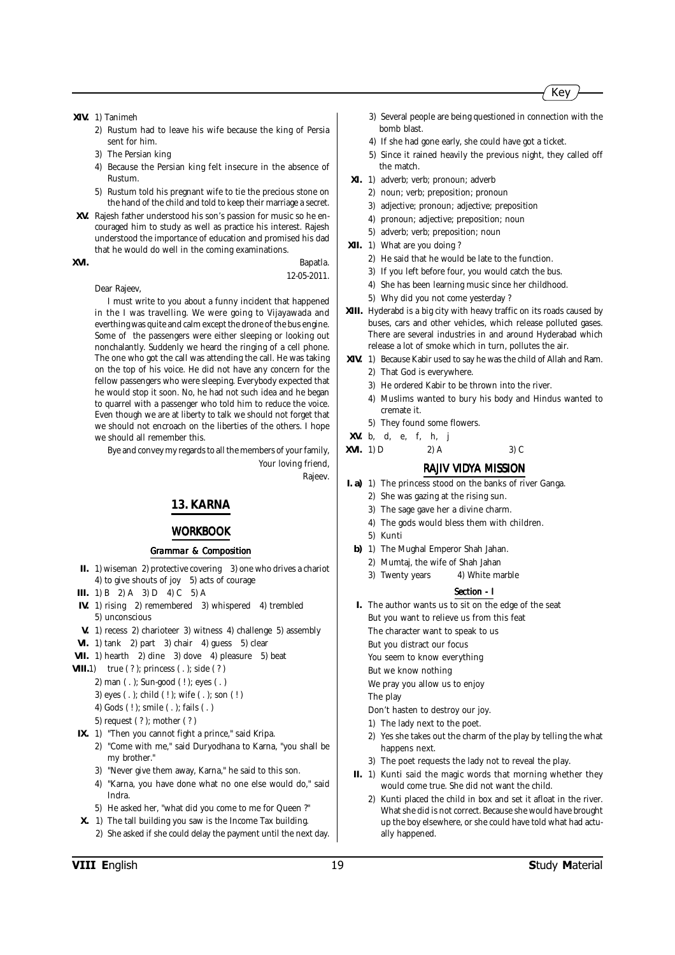

**XIV.** 1) Tanimeh

- 2) Rustum had to leave his wife because the king of Persia sent for him.
- 3) The Persian king
- 4) Because the Persian king felt insecure in the absence of Rustum.
- 5) Rustum told his pregnant wife to tie the precious stone on the hand of the child and told to keep their marriage a secret.
- **XV.** Rajesh father understood his son's passion for music so he encouraged him to study as well as practice his interest. Rajesh understood the importance of education and promised his dad that he would do well in the coming examinations.

#### Dear Rajeev,

**XVI.** Bapatla. 12-05-2011.

I must write to you about a funny incident that happened in the I was travelling. We were going to Vijayawada and everthing was quite and calm except the drone of the bus engine. Some of the passengers were either sleeping or looking out nonchalantly. Suddenly we heard the ringing of a cell phone. The one who got the call was attending the call. He was taking on the top of his voice. He did not have any concern for the fellow passengers who were sleeping. Everybody expected that he would stop it soon. No, he had not such idea and he began to quarrel with a passenger who told him to reduce the voice. Even though we are at liberty to talk we should not forget that we should not encroach on the liberties of the others. I hope we should all remember this.

Bye and convey my regards to all the members of your family, Your loving friend,

Rajeev.

### **13. KARNA**

#### *WORKBOOK*

#### *Grammar & Composition*

- **II.** 1) wiseman 2) protective covering 3) one who drives a chariot 4) to give shouts of joy 5) acts of courage
- **III.** 1) B 2) A 3) D 4) C 5) A
- **IV.** 1) rising 2) remembered 3) whispered 4) trembled 5) unconscious
- **V.** 1) recess 2) charioteer 3) witness 4) challenge 5) assembly
- **VI.** 1) tank 2) part 3) chair 4) guess 5) clear
- **VII.** 1) hearth 2) dine 3) dove 4) pleasure 5) beat
- **VIII.**1) true (?); princess (.); side (?)
	- 2) man ( . ); Sun-good ( ! ); eyes ( . )
		- 3) eyes ( . ); child ( ! ); wife ( . ); son ( ! )
	- 4) Gods ( ! ); smile ( . ); fails ( . )
	- 5) request ( ? ); mother ( ? )
- **IX.** 1) "Then you cannot fight a prince," said Kripa.
	- 2) "Come with me," said Duryodhana to Karna, "you shall be my brother."
		- 3) "Never give them away, Karna," he said to this son.
		- 4) "Karna, you have done what no one else would do," said Indra.
		- 5) He asked her, "what did you come to me for Queen ?"
- **X.** 1) The tall building you saw is the Income Tax building. 2) She asked if she could delay the payment until the next day.
- 3) Several people are being questioned in connection with the bomb blast.
- 4) If she had gone early, she could have got a ticket.
- 5) Since it rained heavily the previous night, they called off the match.
- **XI.** 1) adverb; verb; pronoun; adverb
	- 2) noun; verb; preposition; pronoun
	- 3) adjective; pronoun; adjective; preposition
	- 4) pronoun; adjective; preposition; noun
	- 5) adverb; verb; preposition; noun
- **XII.** 1) What are you doing ?
	- 2) He said that he would be late to the function.
	- 3) If you left before four, you would catch the bus.
	- 4) She has been learning music since her childhood.
	- 5) Why did you not come yesterday ?
- **XIII.** Hyderabd is a big city with heavy traffic on its roads caused by buses, cars and other vehicles, which release polluted gases. There are several industries in and around Hyderabad which release a lot of smoke which in turn, pollutes the air.
- **XIV.** 1) Because Kabir used to say he was the child of Allah and Ram. 2) That God is everywhere.
	- 3) He ordered Kabir to be thrown into the river.
	- 4) Muslims wanted to bury his body and Hindus wanted to cremate it.
	- 5) They found some flowers.
- **XV.** b, d, e, f, h, j
- **XVI.** 1) D 2) A 3) C

#### *RAJIV VIDYA MISSION*

- **I. a)** 1) The princess stood on the banks of river Ganga.
	- 2) She was gazing at the rising sun.
	- 3) The sage gave her a divine charm.
	- 4) The gods would bless them with children.
	- 5) Kunti
	- **b)** 1) The Mughal Emperor Shah Jahan.
		- 2) Mumtaj, the wife of Shah Jahan
		- 3) Twenty years 4) White marble

#### *Section - I*

- **I.** The author wants us to sit on the edge of the seat But you want to relieve us from this feat
	- The character want to speak to us
	- But you distract our focus
	- You seem to know everything
	- But we know nothing
	- We pray you allow us to enjoy

The play

- Don't hasten to destroy our joy.
- 1) The lady next to the poet.
- 2) Yes she takes out the charm of the play by telling the what happens next.
- 3) The poet requests the lady not to reveal the play.
- **II.** 1) Kunti said the magic words that morning whether they would come true. She did not want the child.
	- 2) Kunti placed the child in box and set it afloat in the river. What she did is not correct. Because she would have brought up the boy elsewhere, or she could have told what had actually happened.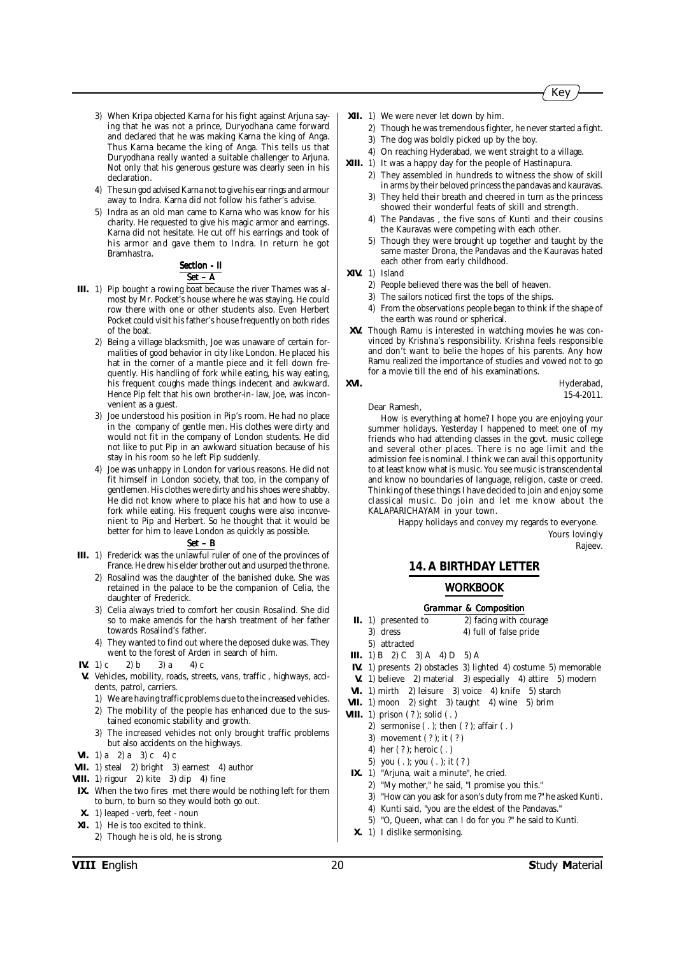

- 3) When Kripa objected Karna for his fight against Arjuna saying that he was not a prince, Duryodhana came forward and declared that he was making Karna the king of Anga. Thus Karna became the king of Anga. This tells us that Duryodhana really wanted a suitable challenger to Arjuna. Not only that his generous gesture was clearly seen in his declaration.
- 4) The sun god advised Karna not to give his ear rings and armour away to Indra. Karna did not follow his father's advise.
- 5) Indra as an old man came to Karna who was know for his charity. He requested to give his magic armor and earrings. Karna did not hesitate. He cut off his earrings and took of his armor and gave them to Indra. In return he got Bramhastra.

#### **Section - II** *Set – A*

- **III.** 1) Pip bought a rowing boat because the river Thames was almost by Mr. Pocket's house where he was staying. He could row there with one or other students also. Even Herbert Pocket could visit his father's house frequently on both rides of the boat.
	- 2) Being a village blacksmith, Joe was unaware of certain formalities of good behavior in city like London. He placed his hat in the corner of a mantle piece and it fell down frequently. His handling of fork while eating, his way eating, his frequent coughs made things indecent and awkward. Hence Pip felt that his own brother-in- law, Joe, was inconvenient as a guest.
	- 3) Joe understood his position in Pip's room. He had no place in the company of gentle men. His clothes were dirty and would not fit in the company of London students. He did not like to put Pip in an awkward situation because of his stay in his room so he left Pip suddenly.
	- 4) Joe was unhappy in London for various reasons. He did not fit himself in London society, that too, in the company of gentlemen. His clothes were dirty and his shoes were shabby. He did not know where to place his hat and how to use a fork while eating. His frequent coughs were also inconvenient to Pip and Herbert. So he thought that it would be better for him to leave London as quickly as possible.

#### *Set – B*

- **III.** 1) Frederick was the unlawful ruler of one of the provinces of France. He drew his elder brother out and usurped the throne.
	- 2) Rosalind was the daughter of the banished duke. She was retained in the palace to be the companion of Celia, the daughter of Frederick.
	- 3) Celia always tried to comfort her cousin Rosalind. She did so to make amends for the harsh treatment of her father towards Rosalind's father.
	- 4) They wanted to find out where the deposed duke was. They went to the forest of Arden in search of him.
- **IV.** 1) c 2) b 3) a 4) c
- **V.** Vehicles, mobility, roads, streets, vans, traffic , highways, accidents, patrol, carriers.
	- 1) We are having traffic problems due to the increased vehicles.
	- 2) The mobility of the people has enhanced due to the sustained economic stability and growth.
	- 3) The increased vehicles not only brought traffic problems but also accidents on the highways.
- **VI.** 1) a 2) a 3) c 4) c
- **VII.** 1) steal 2) bright 3) earnest 4) author
- **VIII.** 1) rigour 2) kite 3) dip 4) fine
- **IX.** When the two fires met there would be nothing left for them to burn, to burn so they would both go out.
- **X.** 1) leaped verb, feet noun
- **XI.** 1) He is too excited to think.
	- 2) Though he is old, he is strong.
- **XII.** 1) We were never let down by him.
	- 2) Though he was tremendous fighter, he never started a fight.
	- 3) The dog was boldly picked up by the boy.
	- 4) On reaching Hyderabad, we went straight to a village.
- **XIII.** 1) It was a happy day for the people of Hastinapura. 2) They assembled in hundreds to witness the show of skill in arms by their beloved princess the pandavas and kauravas.
	- 3) They held their breath and cheered in turn as the princess showed their wonderful feats of skill and strength.
	- 4) The Pandavas , the five sons of Kunti and their cousins the Kauravas were competing with each other.
	- 5) Though they were brought up together and taught by the same master Drona, the Pandavas and the Kauravas hated each other from early childhood.
- **XIV.** 1) Island
	- 2) People believed there was the bell of heaven.
	- 3) The sailors noticed first the tops of the ships.
	- 4) From the observations people began to think if the shape of the earth was round or spherical.
- **XV.** Though Ramu is interested in watching movies he was convinced by Krishna's responsibility. Krishna feels responsible and don't want to belie the hopes of his parents. Any how Ramu realized the importance of studies and vowed not to go for a movie till the end of his examinations.
- 

**XVI.** Hyderabad, 15-4-2011.

Dear Ramesh,

How is everything at home? I hope you are enjoying your summer holidays. Yesterday I happened to meet one of my friends who had attending classes in the govt. music college and several other places. There is no age limit and the admission fee is nominal. I think we can avail this opportunity to at least know what is music. You see music is transcendental and know no boundaries of language, religion, caste or creed. Thinking of these things I have decided to join and enjoy some classical music. Do join and let me know about the KALAPARICHAYAM in your town.

> Happy holidays and convey my regards to everyone. Yours lovingly

#### Rajeev.

#### **14. A BIRTHDAY LETTER**

#### *WORKBOOK*

- **II.** 1) presented to 2) facing with courage
	- 3) dress 4) full of false pride
- 5) attracted
- **III.** 1) B 2) C 3) A 4) D 5) A
- **IV.** 1) presents 2) obstacles 3) lighted 4) costume 5) memorable
- **V.** 1) believe 2) material 3) especially 4) attire 5) modern
- **VI.** 1) mirth 2) leisure 3) voice 4) knife 5) starch
- **VII.** 1) moon 2) sight 3) taught 4) wine 5) brim
- **VIII.** 1) prison (?); solid (.)
	- 2) sermonise ( . ); then ( ? ); affair ( . )
	- 3) movement ( ? ); it ( ? )
	- 4) her ( ? ); heroic ( . )
	- 5) you ( . ); you ( . ); it ( ? )
- **IX.** 1) "Arjuna, wait a minute", he cried.
	- 2) "My mother," he said, "I promise you this."
		- 3) "How can you ask for a son's duty from me ?" he asked Kunti.
	- 4) Kunti said, "you are the eldest of the Pandavas."
	- 5) "O, Queen, what can I do for you ?" he said to Kunti.
- **X.** 1) I dislike sermonising.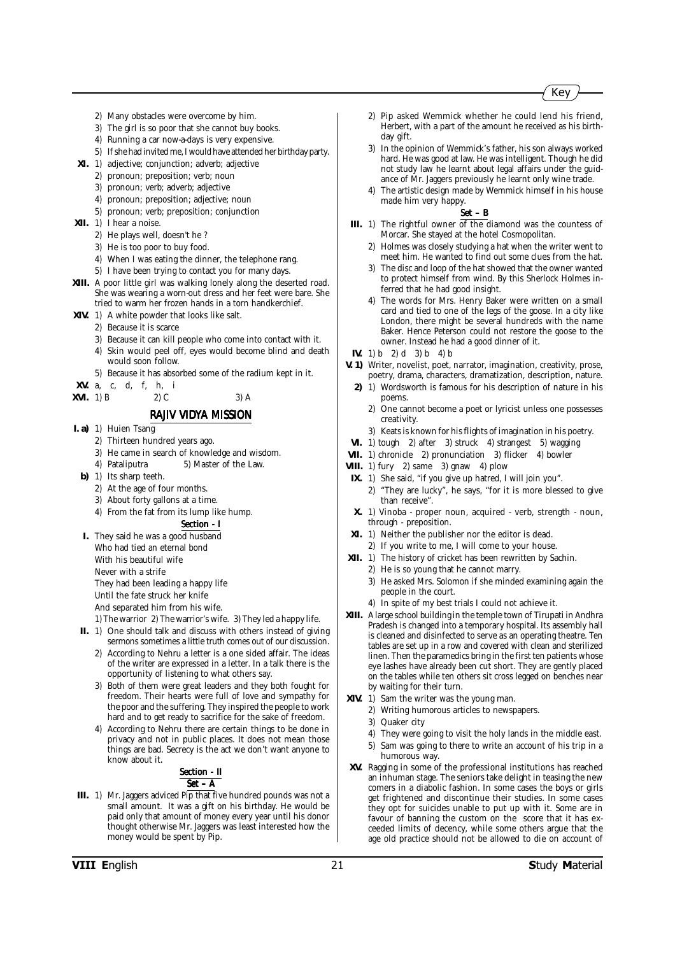- 2) Many obstacles were overcome by him.
- 3) The girl is so poor that she cannot buy books.
- 4) Running a car now-a-days is very expensive.
- 5) If she had invited me, I would have attended her birthday party.
- **XI.** 1) adjective; conjunction; adverb; adjective
	- 2) pronoun; preposition; verb; noun
	- 3) pronoun; verb; adverb; adjective
	- 4) pronoun; preposition; adjective; noun
	- 5) pronoun; verb; preposition; conjunction
- **XII.** 1) I hear a noise.
	- 2) He plays well, doesn't he ?
	- 3) He is too poor to buy food.
	- 4) When I was eating the dinner, the telephone rang.
	- 5) I have been trying to contact you for many days.
- **XIII.** A poor little girl was walking lonely along the deserted road. She was wearing a worn-out dress and her feet were bare. She tried to warm her frozen hands in a torn handkerchief.
- **XIV.** 1) A white powder that looks like salt.
	- 2) Because it is scarce
		- 3) Because it can kill people who come into contact with it.
		- 4) Skin would peel off, eyes would become blind and death would soon follow.
		- 5) Because it has absorbed some of the radium kept in it.
- **XV.** a, c, d, f, h, i

**XVI.** 1) B 2) C 3) A

#### *RAJIV VIDYA MISSION*

- **I. a)** 1) Huien Tsang
	- 2) Thirteen hundred years ago.
	- 3) He came in search of knowledge and wisdom.
	- 4) Pataliputra 5) Master of the Law.
	- **b)** 1) Its sharp teeth.
		- 2) At the age of four months.
		- 3) About forty gallons at a time.
		- 4) From the fat from its lump like hump.

#### *Section - I Section*

- **I.** They said he was a good husband Who had tied an eternal bond With his beautiful wife Never with a strife They had been leading a happy life Until the fate struck her knife
	- And separated him from his wife.
- 1) The warrior 2) The warrior's wife. 3) They led a happy life.
- **II.** 1) One should talk and discuss with others instead of giving sermons sometimes a little truth comes out of our discussion.
	- 2) According to Nehru a letter is a one sided affair. The ideas of the writer are expressed in a letter. In a talk there is the opportunity of listening to what others say.
	- 3) Both of them were great leaders and they both fought for freedom. Their hearts were full of love and sympathy for the poor and the suffering. They inspired the people to work hard and to get ready to sacrifice for the sake of freedom.
	- 4) According to Nehru there are certain things to be done in privacy and not in public places. It does not mean those things are bad. Secrecy is the act we don't want anyone to know about it.

#### **Section - II** *Set – A*

**III.** 1) Mr. Jaggers adviced Pip that five hundred pounds was not a small amount. It was a gift on his birthday. He would be paid only that amount of money every year until his donor thought otherwise Mr. Jaggers was least interested how the money would be spent by Pip.

- 2) Pip asked Wemmick whether he could lend his friend, Herbert, with a part of the amount he received as his birthday gift.
- 3) In the opinion of Wemmick's father, his son always worked hard. He was good at law. He was intelligent. Though he did not study law he learnt about legal affairs under the guidance of Mr. Jaggers previously he learnt only wine trade.
- 4) The artistic design made by Wemmick himself in his house made him very happy.

- **III.** 1) The rightful owner of the diamond was the countess of Morcar. She stayed at the hotel Cosmopolitan.
	- 2) Holmes was closely studying a hat when the writer went to meet him. He wanted to find out some clues from the hat.
	- 3) The disc and loop of the hat showed that the owner wanted to protect himself from wind. By this Sherlock Holmes inferred that he had good insight.
	- 4) The words for Mrs. Henry Baker were written on a small card and tied to one of the legs of the goose. In a city like London, there might be several hundreds with the name Baker. Hence Peterson could not restore the goose to the owner. Instead he had a good dinner of it.
- **IV.** 1) b 2) d 3) b 4) b
- **V. 1)** Writer, novelist, poet, narrator, imagination, creativity, prose, poetry, drama, characters, dramatization, description, nature.
	- **2)** 1) Wordsworth is famous for his description of nature in his poems.
		- 2) One cannot become a poet or lyricist unless one possesses creativity.
		- 3) Keats is known for his flights of imagination in his poetry.
- **VI.** 1) tough 2) after 3) struck 4) strangest 5) wagging
- **VII.** 1) chronicle 2) pronunciation 3) flicker 4) bowler
- **VIII.** 1) fury 2) same 3) gnaw 4) plow
- **IX.** 1) She said, "if you give up hatred, I will join you".
- 2) "They are lucky", he says, "for it is more blessed to give than receive".
- **X.** 1) Vinoba proper noun, acquired verb, strength noun, through - preposition.
- **XI.** 1) Neither the publisher nor the editor is dead.
- 2) If you write to me, I will come to your house.
- **XII.** 1) The history of cricket has been rewritten by Sachin.
	- 2) He is so young that he cannot marry.
		- 3) He asked Mrs. Solomon if she minded examining again the people in the court.
	- 4) In spite of my best trials I could not achieve it.
- **XIII.** A large school building in the temple town of Tirupati in Andhra Pradesh is changed into a temporary hospital. Its assembly hall is cleaned and disinfected to serve as an operating theatre. Ten tables are set up in a row and covered with clean and sterilized linen. Then the paramedics bring in the first ten patients whose eve lashes have already been cut short. They are gently placed on the tables while ten others sit cross legged on benches near by waiting for their turn.
- **XIV.** 1) Sam the writer was the young man.
	- 2) Writing humorous articles to newspapers.
		- 3) Quaker city
		- 4) They were going to visit the holy lands in the middle east.
	- 5) Sam was going to there to write an account of his trip in a humorous way.
- **XV.** Ragging in some of the professional institutions has reached an inhuman stage. The seniors take delight in teasing the new comers in a diabolic fashion. In some cases the boys or girls get frightened and discontinue their studies. In some cases they opt for suicides unable to put up with it. Some are in favour of banning the custom on the score that it has exceeded limits of decency, while some others argue that the age old practice should not be allowed to die on account of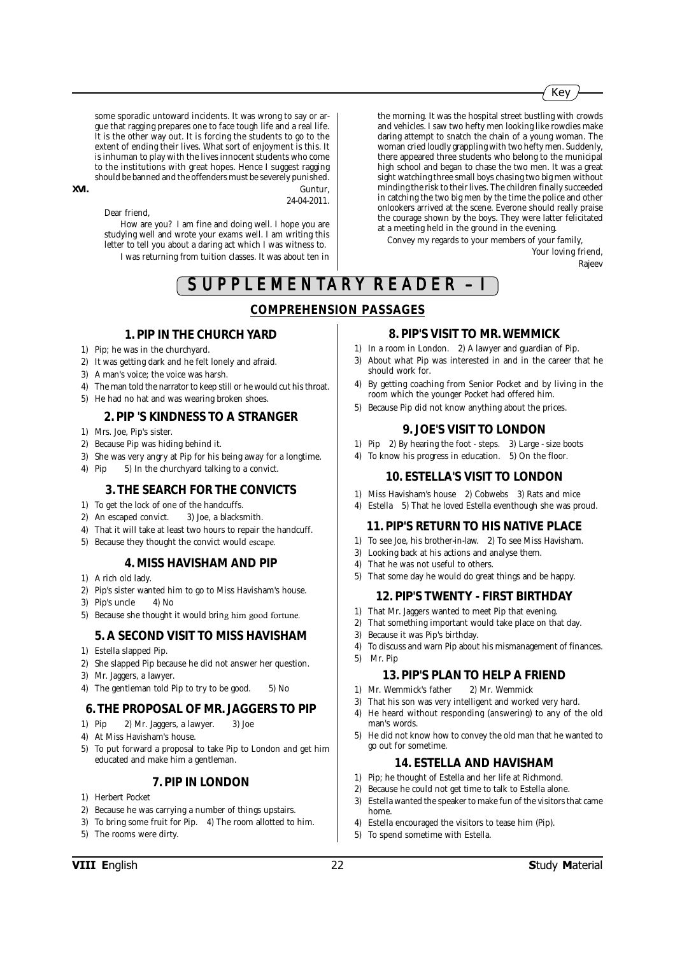some sporadic untoward incidents. It was wrong to say or argue that ragging prepares one to face tough life and a real life. It is the other way out. It is forcing the students to go to the extent of ending their lives. What sort of enjoyment is this. It is inhuman to play with the lives innocent students who come to the institutions with great hopes. Hence I suggest ragging should be banned and the offenders must be severely punished.

**XVI.** Guntur,

24-04-2011.

Dear friend,

How are you? I am fine and doing well. I hope you are studying well and wrote your exams well. I am writing this letter to tell you about a daring act which I was witness to. I was returning from tuition classes. It was about ten in the morning. It was the hospital street bustling with crowds and vehicles. I saw two hefty men looking like rowdies make daring attempt to snatch the chain of a young woman. The woman cried loudly grappling with two hefty men. Suddenly, there appeared three students who belong to the municipal high school and began to chase the two men. It was a great sight watching three small boys chasing two big men without minding the risk to their lives. The children finally succeeded in catching the two big men by the time the police and other onlookers arrived at the scene. Everone should really praise the courage shown by the boys. They were latter felicitated at a meeting held in the ground in the evening.

Convey my regards to your members of your family,

Your loving friend, Rajeev

SUPPLEMENTARY READER -

### **COMPREHENSION PASSAGES**

#### **1. PIP IN THE CHURCH YARD**

- 1) Pip; he was in the churchyard.
- 2) It was getting dark and he felt lonely and afraid.
- 3) A man's voice; the voice was harsh.
- 4) The man told the narrator to keep still or he would cut his throat.
- 5) He had no hat and was wearing broken shoes.

#### **2. PIP 'S KINDNESS TO A STRANGER**

- 1) Mrs. Joe, Pip's sister.
- 2) Because Pip was hiding behind it.
- 3) She was very angry at Pip for his being away for a longtime.
- 4) Pip 5) In the churchyard talking to a convict.

#### **3. THE SEARCH FOR THE CONVICTS**

- 1) To get the lock of one of the handcuffs.
- 2) An escaped convict. 3) Joe, a blacksmith.
- 4) That it will take at least two hours to repair the handcuff.
- 5) Because they thought the convict would escape.

#### **4. MISS HAVISHAM AND PIP**

- 1) A rich old lady.
- 2) Pip's sister wanted him to go to Miss Havisham's house.
- 3) Pip's uncle 4) No
- 5) Because she thought it would bring him good fortune.

#### **5. A SECOND VISIT TO MISS HAVISHAM**

- 1) Estella slapped Pip.
- 2) She slapped Pip because he did not answer her question.
- 3) Mr. Jaggers, a lawyer.
- 4) The gentleman told Pip to try to be good. 5) No

#### **6. THE PROPOSAL OF MR. JAGGERS TO PIP**

- 1) Pip 2) Mr. Jaggers, a lawyer. 3) Joe
- 4) At Miss Havisham's house.
- 5) To put forward a proposal to take Pip to London and get him educated and make him a gentleman.

#### **7. PIP IN LONDON**

- 1) Herbert Pocket
- 2) Because he was carrying a number of things upstairs.
- 3) To bring some fruit for Pip. 4) The room allotted to him.
- 5) The rooms were dirty.

### **8. PIP'S VISIT TO MR. WEMMICK**

- 1) In a room in London. 2) A lawyer and guardian of Pip.
- 3) About what Pip was interested in and in the career that he should work for.
- 4) By getting coaching from Senior Pocket and by living in the room which the younger Pocket had offered him.
- 5) Because Pip did not know anything about the prices.

#### **9. JOE'S VISIT TO LONDON**

- 1) Pip 2) By hearing the foot steps. 3) Large size boots
- 4) To know his progress in education. 5) On the floor.

#### **10. ESTELLA'S VISIT TO LONDON**

- 1) Miss Havisham's house 2) Cobwebs 3) Rats and mice
- 4) Estella 5) That he loved Estella eventhough she was proud.

#### **11. PIP'S RETURN TO HIS NATIVE PLACE**

- 1) To see Joe, his brother-in-law. 2) To see Miss Havisham.
- 3) Looking back at his actions and analyse them.
- 4) That he was not useful to others.
- 5) That some day he would do great things and be happy.

#### **12. PIP'S TWENTY - FIRST BIRTHDAY**

- 1) That Mr. Jaggers wanted to meet Pip that evening.
- 2) That something important would take place on that day.
- 3) Because it was Pip's birthday.
- 4) To discuss and warn Pip about his mismanagement of finances. 5) Mr. Pip

#### **13. PIP'S PLAN TO HELP A FRIEND**

- 1) Mr. Wemmick's father 2) Mr. Wemmick
- 3) That his son was very intelligent and worked very hard.
- 4) He heard without responding (answering) to any of the old man's words.
- 5) He did not know how to convey the old man that he wanted to go out for sometime.

#### **14. ESTELLA AND HAVISHAM**

- 1) Pip; he thought of Estella and her life at Richmond.
- 2) Because he could not get time to talk to Estella alone.
- 3) Estella wanted the speaker to make fun of the visitors that came home.
- 4) Estella encouraged the visitors to tease him (Pip).
- 5) To spend sometime with Estella.